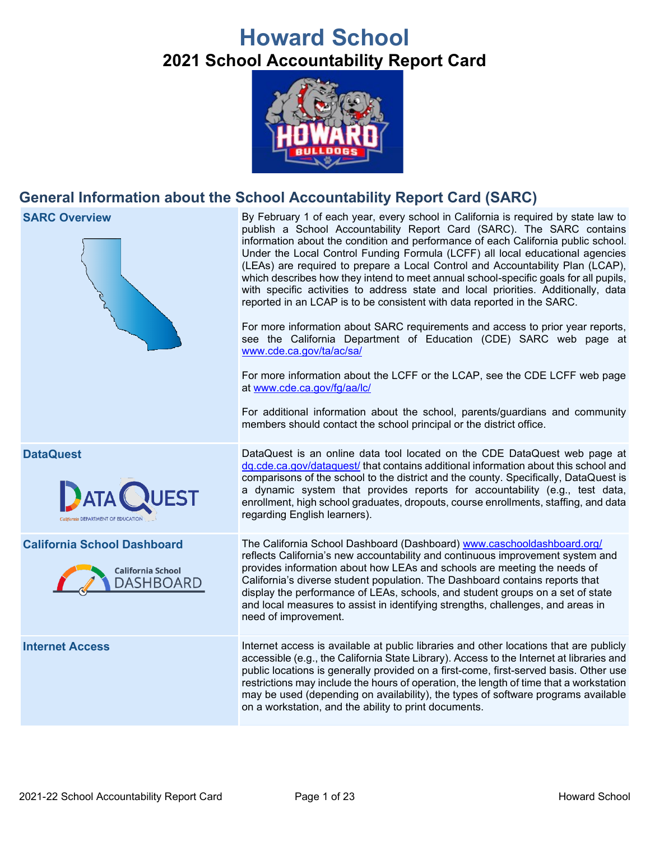# **Howard School 2021 School Accountability Report Card**



# **General Information about the School Accountability Report Card (SARC)**



**SARC Overview** By February 1 of each year, every school in California is required by state law to publish a School Accountability Report Card (SARC). The SARC contains information about the condition and performance of each California public school. Under the Local Control Funding Formula (LCFF) all local educational agencies (LEAs) are required to prepare a Local Control and Accountability Plan (LCAP), which describes how they intend to meet annual school-specific goals for all pupils, with specific activities to address state and local priorities. Additionally, data reported in an LCAP is to be consistent with data reported in the SARC.

> For more information about SARC requirements and access to prior year reports, see the California Department of Education (CDE) SARC web page at [www.cde.ca.gov/ta/ac/sa/](https://www.cde.ca.gov/ta/ac/sa/)

> For more information about the LCFF or the LCAP, see the CDE LCFF web page at [www.cde.ca.gov/fg/aa/lc/](https://www.cde.ca.gov/fg/aa/lc/)

> For additional information about the school, parents/guardians and community members should contact the school principal or the district office.

**DataQuest** DataQuest is an online data tool located on the CDE DataQuest web page at [dq.cde.ca.gov/dataquest/](https://dq.cde.ca.gov/dataquest/) that contains additional information about this school and comparisons of the school to the district and the county. Specifically, DataQuest is a dynamic system that provides reports for accountability (e.g., test data, enrollment, high school graduates, dropouts, course enrollments, staffing, and data regarding English learners).

**California School Dashboard** The California School Dashboard (Dashboard) [www.caschooldashboard.org/](http://www.caschooldashboard.org/) reflects California's new accountability and continuous improvement system and provides information about how LEAs and schools are meeting the needs of California's diverse student population. The Dashboard contains reports that display the performance of LEAs, schools, and student groups on a set of state and local measures to assist in identifying strengths, challenges, and areas in need of improvement.

**Internet Access** Internet access is available at public libraries and other locations that are publicly accessible (e.g., the California State Library). Access to the Internet at libraries and public locations is generally provided on a first-come, first-served basis. Other use restrictions may include the hours of operation, the length of time that a workstation may be used (depending on availability), the types of software programs available on a workstation, and the ability to print documents.



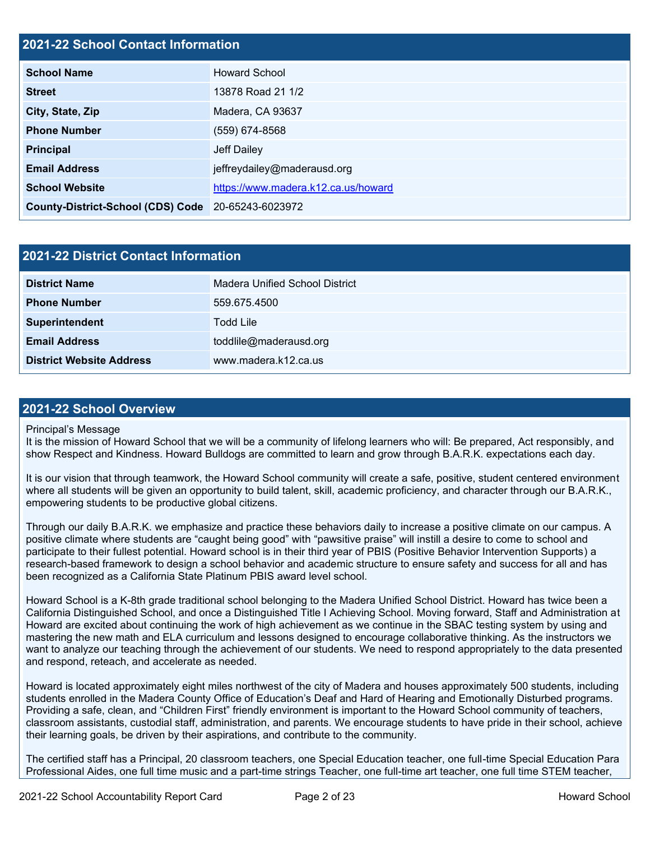# **2021-22 School Contact Information**

| <b>School Name</b>                                 | <b>Howard School</b>                |  |  |  |
|----------------------------------------------------|-------------------------------------|--|--|--|
| <b>Street</b>                                      | 13878 Road 21 1/2                   |  |  |  |
| City, State, Zip                                   | Madera, CA 93637                    |  |  |  |
| <b>Phone Number</b>                                | (559) 674-8568                      |  |  |  |
| <b>Principal</b>                                   | Jeff Dailey                         |  |  |  |
| <b>Email Address</b>                               | jeffreydailey@maderausd.org         |  |  |  |
| <b>School Website</b>                              | https://www.madera.k12.ca.us/howard |  |  |  |
| County-District-School (CDS) Code 20-65243-6023972 |                                     |  |  |  |

| 2021-22 District Contact Information |                                |  |  |  |
|--------------------------------------|--------------------------------|--|--|--|
| <b>District Name</b>                 | Madera Unified School District |  |  |  |
| <b>Phone Number</b>                  | 559.675.4500                   |  |  |  |
| Superintendent                       | Todd Lile                      |  |  |  |
| <b>Email Address</b>                 | toddlile@maderausd.org         |  |  |  |
| <b>District Website Address</b>      | www.madera.k12.ca.us           |  |  |  |

# **2021-22 School Overview**

### Principal's Message

It is the mission of Howard School that we will be a community of lifelong learners who will: Be prepared, Act responsibly, and show Respect and Kindness. Howard Bulldogs are committed to learn and grow through B.A.R.K. expectations each day.

It is our vision that through teamwork, the Howard School community will create a safe, positive, student centered environment where all students will be given an opportunity to build talent, skill, academic proficiency, and character through our B.A.R.K., empowering students to be productive global citizens.

Through our daily B.A.R.K. we emphasize and practice these behaviors daily to increase a positive climate on our campus. A positive climate where students are "caught being good" with "pawsitive praise" will instill a desire to come to school and participate to their fullest potential. Howard school is in their third year of PBIS (Positive Behavior Intervention Supports) a research-based framework to design a school behavior and academic structure to ensure safety and success for all and has been recognized as a California State Platinum PBIS award level school.

Howard School is a K-8th grade traditional school belonging to the Madera Unified School District. Howard has twice been a California Distinguished School, and once a Distinguished Title I Achieving School. Moving forward, Staff and Administration at Howard are excited about continuing the work of high achievement as we continue in the SBAC testing system by using and mastering the new math and ELA curriculum and lessons designed to encourage collaborative thinking. As the instructors we want to analyze our teaching through the achievement of our students. We need to respond appropriately to the data presented and respond, reteach, and accelerate as needed.

Howard is located approximately eight miles northwest of the city of Madera and houses approximately 500 students, including students enrolled in the Madera County Office of Education's Deaf and Hard of Hearing and Emotionally Disturbed programs. Providing a safe, clean, and "Children First" friendly environment is important to the Howard School community of teachers, classroom assistants, custodial staff, administration, and parents. We encourage students to have pride in their school, achieve their learning goals, be driven by their aspirations, and contribute to the community.

The certified staff has a Principal, 20 classroom teachers, one Special Education teacher, one full-time Special Education Para Professional Aides, one full time music and a part-time strings Teacher, one full-time art teacher, one full time STEM teacher,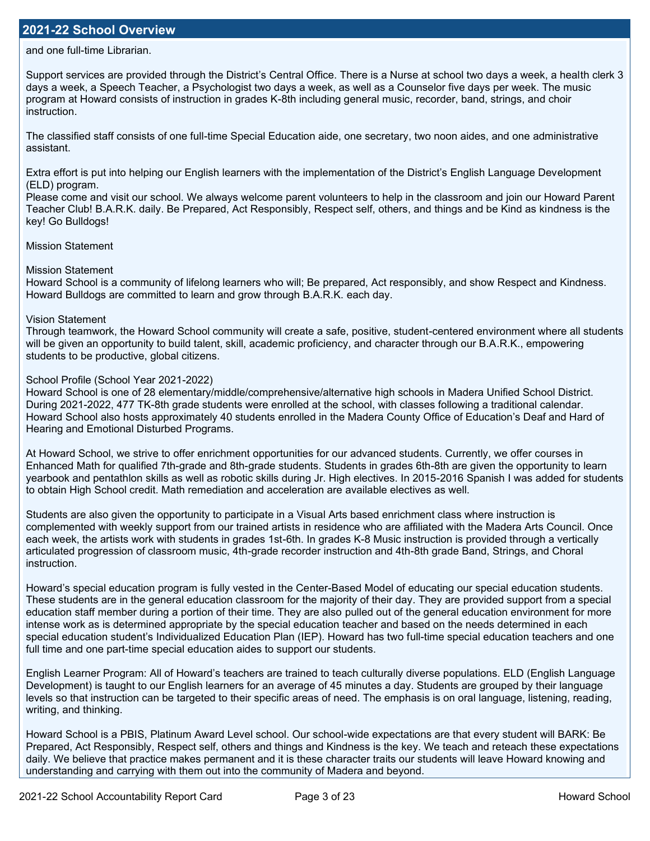## **2021-22 School Overview**

and one full-time Librarian.

Support services are provided through the District's Central Office. There is a Nurse at school two days a week, a health clerk 3 days a week, a Speech Teacher, a Psychologist two days a week, as well as a Counselor five days per week. The music program at Howard consists of instruction in grades K-8th including general music, recorder, band, strings, and choir instruction.

The classified staff consists of one full-time Special Education aide, one secretary, two noon aides, and one administrative assistant.

Extra effort is put into helping our English learners with the implementation of the District's English Language Development (ELD) program.

Please come and visit our school. We always welcome parent volunteers to help in the classroom and join our Howard Parent Teacher Club! B.A.R.K. daily. Be Prepared, Act Responsibly, Respect self, others, and things and be Kind as kindness is the key! Go Bulldogs!

Mission Statement

#### Mission Statement

Howard School is a community of lifelong learners who will; Be prepared, Act responsibly, and show Respect and Kindness. Howard Bulldogs are committed to learn and grow through B.A.R.K. each day.

#### Vision Statement

Through teamwork, the Howard School community will create a safe, positive, student-centered environment where all students will be given an opportunity to build talent, skill, academic proficiency, and character through our B.A.R.K., empowering students to be productive, global citizens.

### School Profile (School Year 2021-2022)

Howard School is one of 28 elementary/middle/comprehensive/alternative high schools in Madera Unified School District. During 2021-2022, 477 TK-8th grade students were enrolled at the school, with classes following a traditional calendar. Howard School also hosts approximately 40 students enrolled in the Madera County Office of Education's Deaf and Hard of Hearing and Emotional Disturbed Programs.

At Howard School, we strive to offer enrichment opportunities for our advanced students. Currently, we offer courses in Enhanced Math for qualified 7th-grade and 8th-grade students. Students in grades 6th-8th are given the opportunity to learn yearbook and pentathlon skills as well as robotic skills during Jr. High electives. In 2015-2016 Spanish I was added for students to obtain High School credit. Math remediation and acceleration are available electives as well.

Students are also given the opportunity to participate in a Visual Arts based enrichment class where instruction is complemented with weekly support from our trained artists in residence who are affiliated with the Madera Arts Council. Once each week, the artists work with students in grades 1st-6th. In grades K-8 Music instruction is provided through a vertically articulated progression of classroom music, 4th-grade recorder instruction and 4th-8th grade Band, Strings, and Choral instruction.

Howard's special education program is fully vested in the Center-Based Model of educating our special education students. These students are in the general education classroom for the majority of their day. They are provided support from a special education staff member during a portion of their time. They are also pulled out of the general education environment for more intense work as is determined appropriate by the special education teacher and based on the needs determined in each special education student's Individualized Education Plan (IEP). Howard has two full-time special education teachers and one full time and one part-time special education aides to support our students.

English Learner Program: All of Howard's teachers are trained to teach culturally diverse populations. ELD (English Language Development) is taught to our English learners for an average of 45 minutes a day. Students are grouped by their language levels so that instruction can be targeted to their specific areas of need. The emphasis is on oral language, listening, reading, writing, and thinking.

Howard School is a PBIS, Platinum Award Level school. Our school-wide expectations are that every student will BARK: Be Prepared, Act Responsibly, Respect self, others and things and Kindness is the key. We teach and reteach these expectations daily. We believe that practice makes permanent and it is these character traits our students will leave Howard knowing and understanding and carrying with them out into the community of Madera and beyond.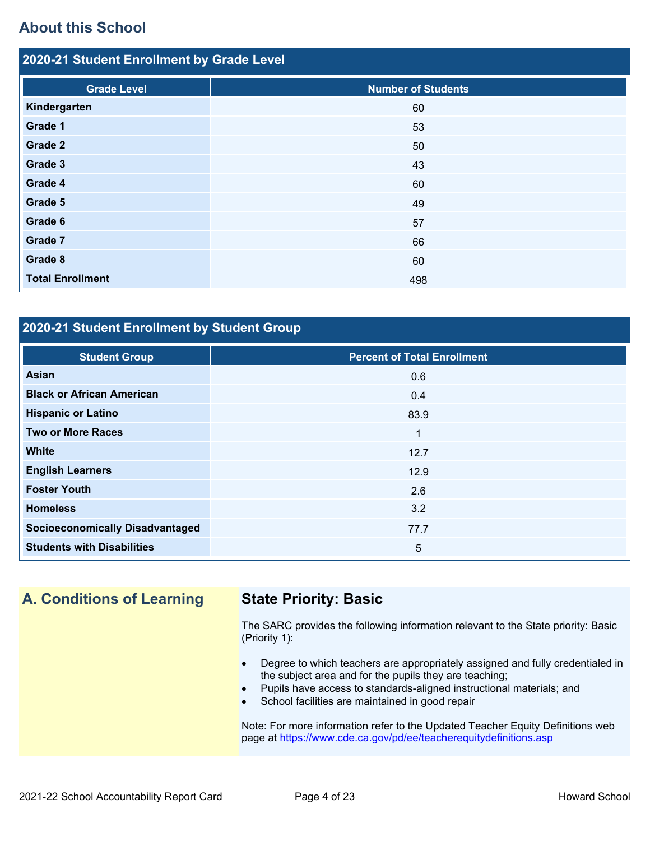# **About this School**

| 2020-21 Student Enrollment by Grade Level |                           |  |  |  |  |
|-------------------------------------------|---------------------------|--|--|--|--|
| <b>Grade Level</b>                        | <b>Number of Students</b> |  |  |  |  |
| Kindergarten                              | 60                        |  |  |  |  |
| Grade 1                                   | 53                        |  |  |  |  |
| Grade 2                                   | 50                        |  |  |  |  |
| Grade 3                                   | 43                        |  |  |  |  |
| Grade 4                                   | 60                        |  |  |  |  |
| Grade 5                                   | 49                        |  |  |  |  |
| Grade 6                                   | 57                        |  |  |  |  |
| Grade 7                                   | 66                        |  |  |  |  |
| Grade 8                                   | 60                        |  |  |  |  |
| <b>Total Enrollment</b>                   | 498                       |  |  |  |  |

# **2020-21 Student Enrollment by Student Group**

| <b>Student Group</b>                   | <b>Percent of Total Enrollment</b> |
|----------------------------------------|------------------------------------|
| Asian                                  | 0.6                                |
| <b>Black or African American</b>       | 0.4                                |
| <b>Hispanic or Latino</b>              | 83.9                               |
| <b>Two or More Races</b>               | 1                                  |
| <b>White</b>                           | 12.7                               |
| <b>English Learners</b>                | 12.9                               |
| <b>Foster Youth</b>                    | 2.6                                |
| <b>Homeless</b>                        | 3.2                                |
| <b>Socioeconomically Disadvantaged</b> | 77.7                               |
| <b>Students with Disabilities</b>      | 5                                  |

# **A. Conditions of Learning State Priority: Basic**

The SARC provides the following information relevant to the State priority: Basic (Priority 1):

- Degree to which teachers are appropriately assigned and fully credentialed in the subject area and for the pupils they are teaching;
- Pupils have access to standards-aligned instructional materials; and
- School facilities are maintained in good repair

Note: For more information refer to the Updated Teacher Equity Definitions web page at<https://www.cde.ca.gov/pd/ee/teacherequitydefinitions.asp>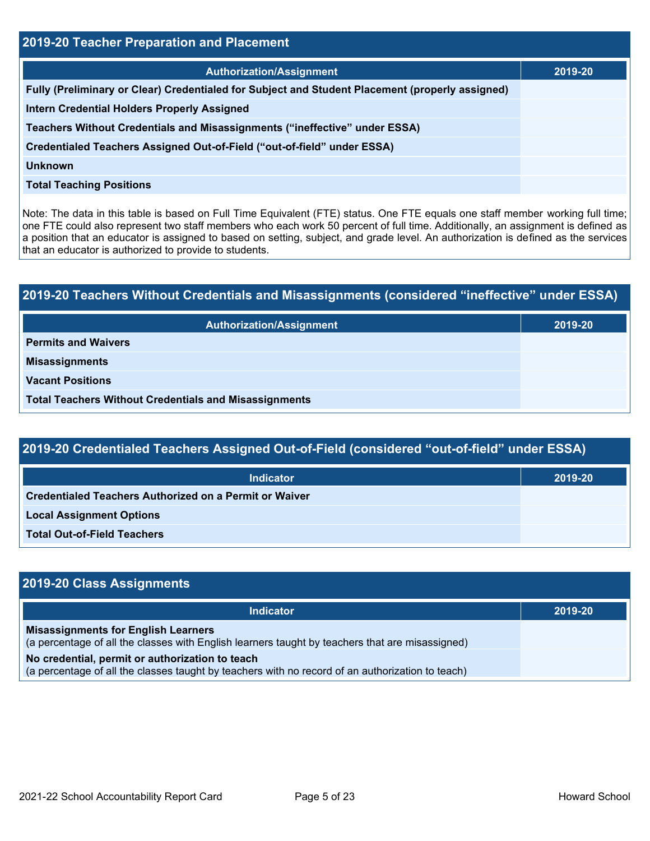| 2019-20 Teacher Preparation and Placement                                                       |         |  |  |
|-------------------------------------------------------------------------------------------------|---------|--|--|
| <b>Authorization/Assignment</b>                                                                 | 2019-20 |  |  |
| Fully (Preliminary or Clear) Credentialed for Subject and Student Placement (properly assigned) |         |  |  |
| <b>Intern Credential Holders Properly Assigned</b>                                              |         |  |  |
| Teachers Without Credentials and Misassignments ("ineffective" under ESSA)                      |         |  |  |
| Credentialed Teachers Assigned Out-of-Field ("out-of-field" under ESSA)                         |         |  |  |
| <b>Unknown</b>                                                                                  |         |  |  |
| <b>Total Teaching Positions</b>                                                                 |         |  |  |

Note: The data in this table is based on Full Time Equivalent (FTE) status. One FTE equals one staff member working full time; one FTE could also represent two staff members who each work 50 percent of full time. Additionally, an assignment is defined as a position that an educator is assigned to based on setting, subject, and grade level. An authorization is defined as the services that an educator is authorized to provide to students.

| 2019-20 Teachers Without Credentials and Misassignments (considered "ineffective" under ESSA) |         |  |  |
|-----------------------------------------------------------------------------------------------|---------|--|--|
| <b>Authorization/Assignment</b>                                                               | 2019-20 |  |  |
| <b>Permits and Waivers</b>                                                                    |         |  |  |
| <b>Misassignments</b>                                                                         |         |  |  |
| <b>Vacant Positions</b>                                                                       |         |  |  |
| <b>Total Teachers Without Credentials and Misassignments</b>                                  |         |  |  |

| 2019-20 Credentialed Teachers Assigned Out-of-Field (considered "out-of-field" under ESSA) |  |
|--------------------------------------------------------------------------------------------|--|
|--------------------------------------------------------------------------------------------|--|

| <b>Indicator</b>                                              | 2019-20 |
|---------------------------------------------------------------|---------|
| <b>Credentialed Teachers Authorized on a Permit or Waiver</b> |         |
| <b>Local Assignment Options</b>                               |         |
| <b>Total Out-of-Field Teachers</b>                            |         |

| 2019-20 Class Assignments                                                                                                                           |         |
|-----------------------------------------------------------------------------------------------------------------------------------------------------|---------|
| <b>Indicator</b>                                                                                                                                    | 2019-20 |
| <b>Misassignments for English Learners</b><br>(a percentage of all the classes with English learners taught by teachers that are misassigned)       |         |
| No credential, permit or authorization to teach<br>(a percentage of all the classes taught by teachers with no record of an authorization to teach) |         |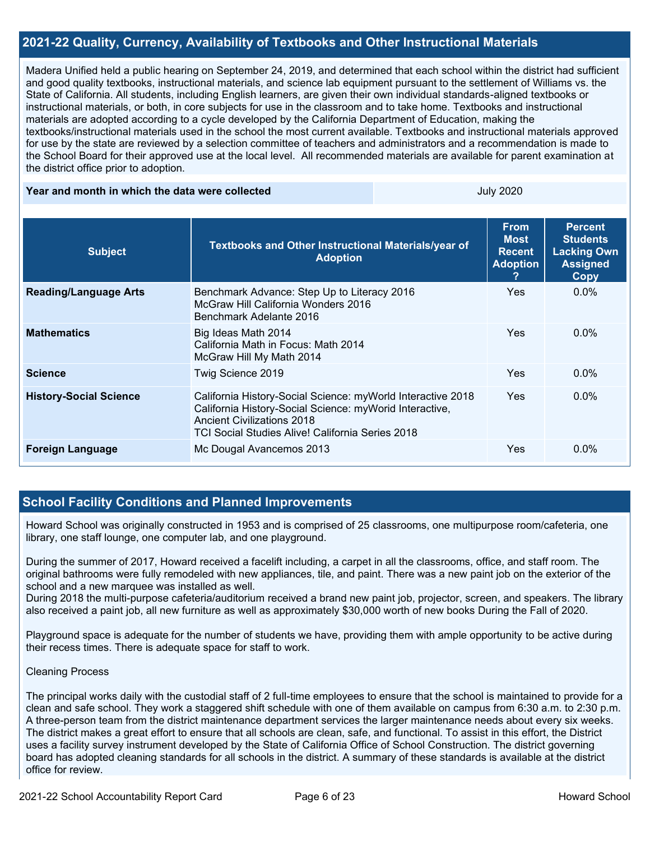# **2021-22 Quality, Currency, Availability of Textbooks and Other Instructional Materials**

Madera Unified held a public hearing on September 24, 2019, and determined that each school within the district had sufficient and good quality textbooks, instructional materials, and science lab equipment pursuant to the settlement of Williams vs. the State of California. All students, including English learners, are given their own individual standards-aligned textbooks or instructional materials, or both, in core subjects for use in the classroom and to take home. Textbooks and instructional materials are adopted according to a cycle developed by the California Department of Education, making the textbooks/instructional materials used in the school the most current available. Textbooks and instructional materials approved for use by the state are reviewed by a selection committee of teachers and administrators and a recommendation is made to the School Board for their approved use at the local level. All recommended materials are available for parent examination at the district office prior to adoption.

#### **Year and month in which the data were collected The Contract Contract Contract Contract Contract Contract Control 2020**

| <b>Subject</b>                | Textbooks and Other Instructional Materials/year of<br><b>Adoption</b>                                                                                                                                          | <b>From</b><br><b>Most</b><br><b>Recent</b><br><b>Adoption</b> | <b>Percent</b><br><b>Students</b><br><b>Lacking Own</b><br><b>Assigned</b><br><b>Copy</b> |
|-------------------------------|-----------------------------------------------------------------------------------------------------------------------------------------------------------------------------------------------------------------|----------------------------------------------------------------|-------------------------------------------------------------------------------------------|
| <b>Reading/Language Arts</b>  | Benchmark Advance: Step Up to Literacy 2016<br>McGraw Hill California Wonders 2016<br>Benchmark Adelante 2016                                                                                                   | <b>Yes</b>                                                     | $0.0\%$                                                                                   |
| <b>Mathematics</b>            | Big Ideas Math 2014<br>California Math in Focus: Math 2014<br>McGraw Hill My Math 2014                                                                                                                          | <b>Yes</b>                                                     | $0.0\%$                                                                                   |
| <b>Science</b>                | Twig Science 2019                                                                                                                                                                                               | <b>Yes</b>                                                     | $0.0\%$                                                                                   |
| <b>History-Social Science</b> | California History-Social Science: myWorld Interactive 2018<br>California History-Social Science: myWorid Interactive,<br><b>Ancient Civilizations 2018</b><br>TCI Social Studies Alive! California Series 2018 | <b>Yes</b>                                                     | $0.0\%$                                                                                   |
| <b>Foreign Language</b>       | Mc Dougal Avancemos 2013                                                                                                                                                                                        | Yes.                                                           | $0.0\%$                                                                                   |

# **School Facility Conditions and Planned Improvements**

Howard School was originally constructed in 1953 and is comprised of 25 classrooms, one multipurpose room/cafeteria, one library, one staff lounge, one computer lab, and one playground.

During the summer of 2017, Howard received a facelift including, a carpet in all the classrooms, office, and staff room. The original bathrooms were fully remodeled with new appliances, tile, and paint. There was a new paint job on the exterior of the school and a new marquee was installed as well.

During 2018 the multi-purpose cafeteria/auditorium received a brand new paint job, projector, screen, and speakers. The library also received a paint job, all new furniture as well as approximately \$30,000 worth of new books During the Fall of 2020.

Playground space is adequate for the number of students we have, providing them with ample opportunity to be active during their recess times. There is adequate space for staff to work.

### Cleaning Process

The principal works daily with the custodial staff of 2 full-time employees to ensure that the school is maintained to provide for a clean and safe school. They work a staggered shift schedule with one of them available on campus from 6:30 a.m. to 2:30 p.m. A three-person team from the district maintenance department services the larger maintenance needs about every six weeks. The district makes a great effort to ensure that all schools are clean, safe, and functional. To assist in this effort, the District uses a facility survey instrument developed by the State of California Office of School Construction. The district governing board has adopted cleaning standards for all schools in the district. A summary of these standards is available at the district office for review.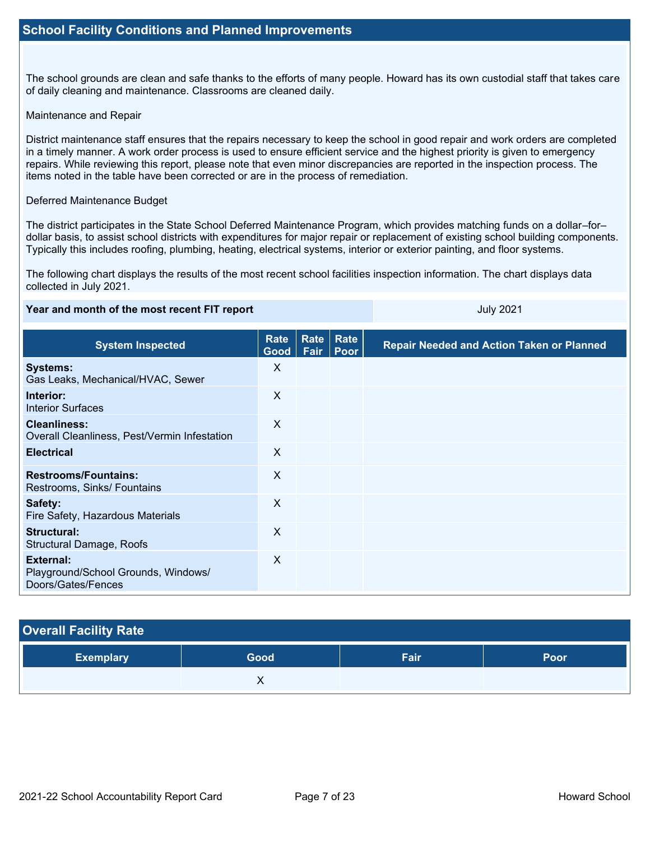The school grounds are clean and safe thanks to the efforts of many people. Howard has its own custodial staff that takes care of daily cleaning and maintenance. Classrooms are cleaned daily.

### Maintenance and Repair

District maintenance staff ensures that the repairs necessary to keep the school in good repair and work orders are completed in a timely manner. A work order process is used to ensure efficient service and the highest priority is given to emergency repairs. While reviewing this report, please note that even minor discrepancies are reported in the inspection process. The items noted in the table have been corrected or are in the process of remediation.

### Deferred Maintenance Budget

The district participates in the State School Deferred Maintenance Program, which provides matching funds on a dollar–for– dollar basis, to assist school districts with expenditures for major repair or replacement of existing school building components. Typically this includes roofing, plumbing, heating, electrical systems, interior or exterior painting, and floor systems.

The following chart displays the results of the most recent school facilities inspection information. The chart displays data collected in July 2021.

## **Year and month of the most recent FIT report July 2021**

| <b>System Inspected</b>                                                | Rate<br>Good <sub>1</sub> | Rate<br>Fair | Rate<br>Poor | <b>Repair Needed and Action Taken or Planned</b> |
|------------------------------------------------------------------------|---------------------------|--------------|--------------|--------------------------------------------------|
| <b>Systems:</b><br>Gas Leaks, Mechanical/HVAC, Sewer                   | X                         |              |              |                                                  |
| Interior:<br><b>Interior Surfaces</b>                                  | X                         |              |              |                                                  |
| <b>Cleanliness:</b><br>Overall Cleanliness, Pest/Vermin Infestation    | $\times$                  |              |              |                                                  |
| <b>Electrical</b>                                                      | $\times$                  |              |              |                                                  |
| <b>Restrooms/Fountains:</b><br>Restrooms, Sinks/ Fountains             | X                         |              |              |                                                  |
| Safety:<br>Fire Safety, Hazardous Materials                            | X                         |              |              |                                                  |
| Structural:<br>Structural Damage, Roofs                                | X                         |              |              |                                                  |
| External:<br>Playground/School Grounds, Windows/<br>Doors/Gates/Fences | X                         |              |              |                                                  |

# **Overall Facility Rate**

| ∣ Exemplary <sup>∣</sup> | Good | Fair | Poor |
|--------------------------|------|------|------|
|                          | . .  |      |      |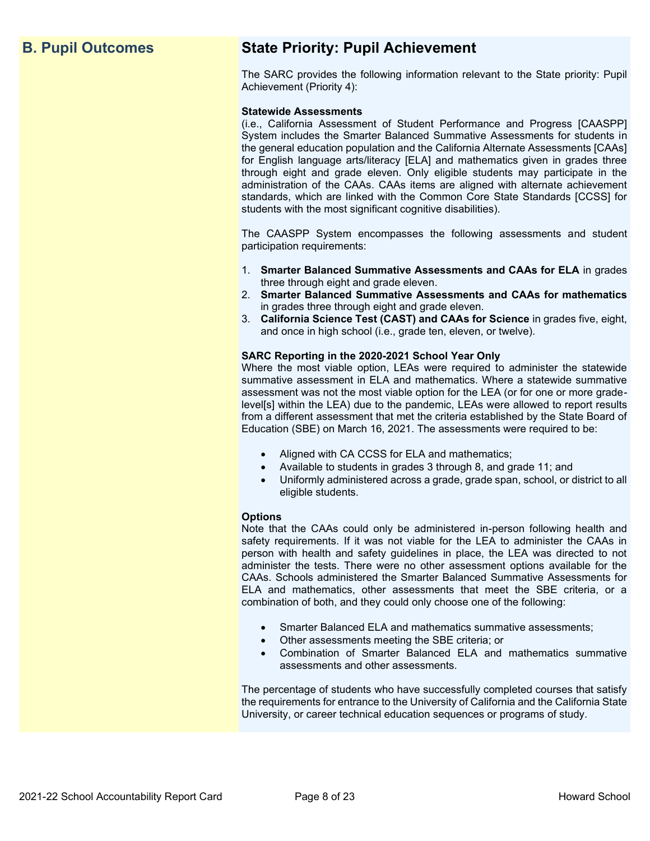# **B. Pupil Outcomes State Priority: Pupil Achievement**

The SARC provides the following information relevant to the State priority: Pupil Achievement (Priority 4):

## **Statewide Assessments**

(i.e., California Assessment of Student Performance and Progress [CAASPP] System includes the Smarter Balanced Summative Assessments for students in the general education population and the California Alternate Assessments [CAAs] for English language arts/literacy [ELA] and mathematics given in grades three through eight and grade eleven. Only eligible students may participate in the administration of the CAAs. CAAs items are aligned with alternate achievement standards, which are linked with the Common Core State Standards [CCSS] for students with the most significant cognitive disabilities).

The CAASPP System encompasses the following assessments and student participation requirements:

- 1. **Smarter Balanced Summative Assessments and CAAs for ELA** in grades three through eight and grade eleven.
- 2. **Smarter Balanced Summative Assessments and CAAs for mathematics** in grades three through eight and grade eleven.
- 3. **California Science Test (CAST) and CAAs for Science** in grades five, eight, and once in high school (i.e., grade ten, eleven, or twelve).

## **SARC Reporting in the 2020-2021 School Year Only**

Where the most viable option, LEAs were required to administer the statewide summative assessment in ELA and mathematics. Where a statewide summative assessment was not the most viable option for the LEA (or for one or more gradelevel[s] within the LEA) due to the pandemic, LEAs were allowed to report results from a different assessment that met the criteria established by the State Board of Education (SBE) on March 16, 2021. The assessments were required to be:

- Aligned with CA CCSS for ELA and mathematics;
- Available to students in grades 3 through 8, and grade 11; and
- Uniformly administered across a grade, grade span, school, or district to all eligible students.

#### **Options**

Note that the CAAs could only be administered in-person following health and safety requirements. If it was not viable for the LEA to administer the CAAs in person with health and safety guidelines in place, the LEA was directed to not administer the tests. There were no other assessment options available for the CAAs. Schools administered the Smarter Balanced Summative Assessments for ELA and mathematics, other assessments that meet the SBE criteria, or a combination of both, and they could only choose one of the following:

- Smarter Balanced ELA and mathematics summative assessments;
- Other assessments meeting the SBE criteria; or
- Combination of Smarter Balanced ELA and mathematics summative assessments and other assessments.

The percentage of students who have successfully completed courses that satisfy the requirements for entrance to the University of California and the California State University, or career technical education sequences or programs of study.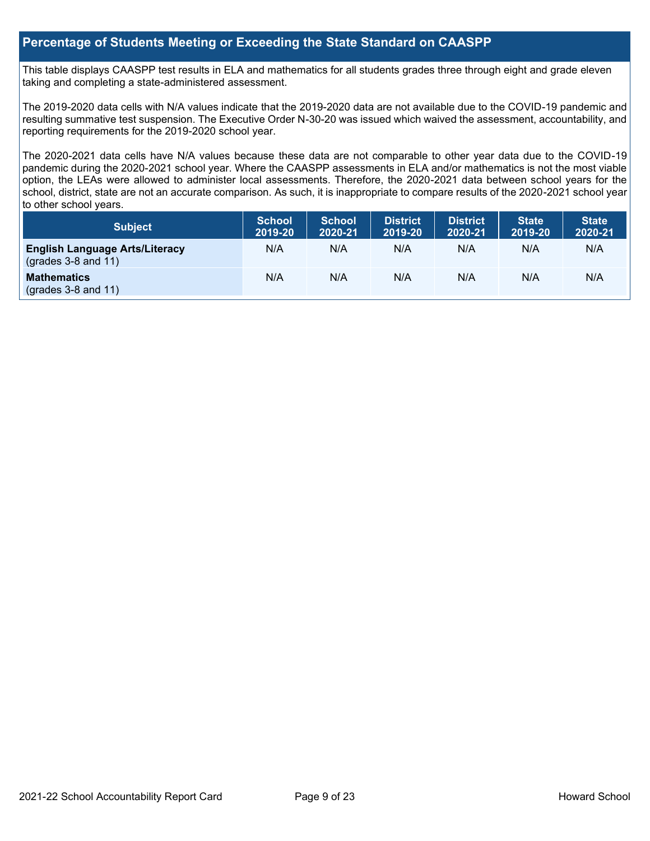# **Percentage of Students Meeting or Exceeding the State Standard on CAASPP**

This table displays CAASPP test results in ELA and mathematics for all students grades three through eight and grade eleven taking and completing a state-administered assessment.

The 2019-2020 data cells with N/A values indicate that the 2019-2020 data are not available due to the COVID-19 pandemic and resulting summative test suspension. The Executive Order N-30-20 was issued which waived the assessment, accountability, and reporting requirements for the 2019-2020 school year.

The 2020-2021 data cells have N/A values because these data are not comparable to other year data due to the COVID-19 pandemic during the 2020-2021 school year. Where the CAASPP assessments in ELA and/or mathematics is not the most viable option, the LEAs were allowed to administer local assessments. Therefore, the 2020-2021 data between school years for the school, district, state are not an accurate comparison. As such, it is inappropriate to compare results of the 2020-2021 school year to other school years.

| Subject                                                              | <b>School</b><br>2019-20 | <b>School</b><br>2020-21 | <b>District</b><br>2019-20 | <b>District</b><br>2020-21 | <b>State</b><br>2019-20 | <b>State</b><br>2020-21 |
|----------------------------------------------------------------------|--------------------------|--------------------------|----------------------------|----------------------------|-------------------------|-------------------------|
| <b>English Language Arts/Literacy</b><br>$\left($ grades 3-8 and 11) | N/A                      | N/A                      | N/A                        | N/A                        | N/A                     | N/A                     |
| <b>Mathematics</b><br>$(grades 3-8 and 11)$                          | N/A                      | N/A                      | N/A                        | N/A                        | N/A                     | N/A                     |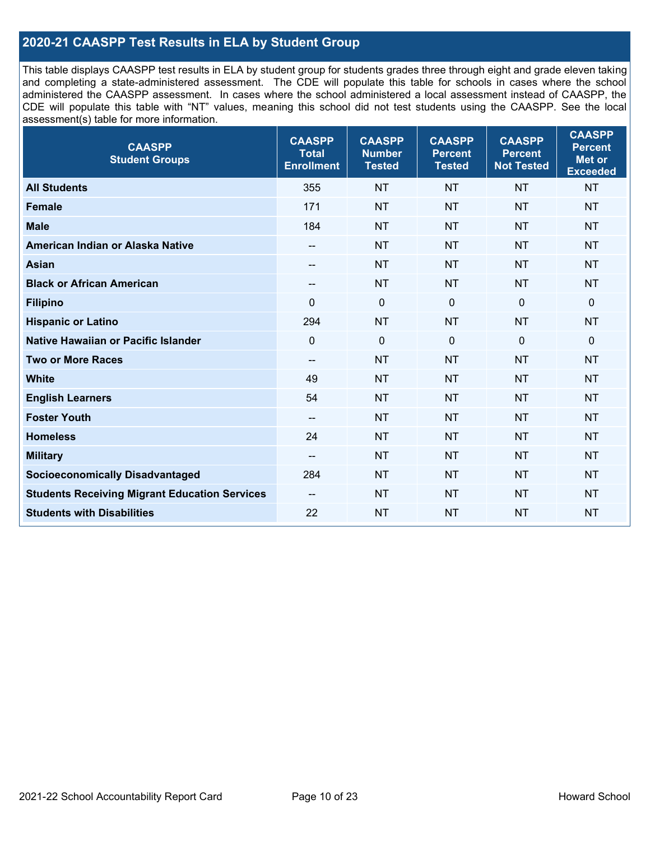# **2020-21 CAASPP Test Results in ELA by Student Group**

This table displays CAASPP test results in ELA by student group for students grades three through eight and grade eleven taking and completing a state-administered assessment. The CDE will populate this table for schools in cases where the school administered the CAASPP assessment. In cases where the school administered a local assessment instead of CAASPP, the CDE will populate this table with "NT" values, meaning this school did not test students using the CAASPP. See the local assessment(s) table for more information.

| <b>CAASPP</b><br><b>Student Groups</b>               | <b>CAASPP</b><br><b>Total</b><br><b>Enrollment</b> | <b>CAASPP</b><br><b>Number</b><br><b>Tested</b> | <b>CAASPP</b><br><b>Percent</b><br><b>Tested</b> | <b>CAASPP</b><br><b>Percent</b><br><b>Not Tested</b> | <b>CAASPP</b><br><b>Percent</b><br>Met or<br><b>Exceeded</b> |
|------------------------------------------------------|----------------------------------------------------|-------------------------------------------------|--------------------------------------------------|------------------------------------------------------|--------------------------------------------------------------|
| <b>All Students</b>                                  | 355                                                | <b>NT</b>                                       | <b>NT</b>                                        | <b>NT</b>                                            | <b>NT</b>                                                    |
| <b>Female</b>                                        | 171                                                | <b>NT</b>                                       | <b>NT</b>                                        | <b>NT</b>                                            | <b>NT</b>                                                    |
| <b>Male</b>                                          | 184                                                | <b>NT</b>                                       | <b>NT</b>                                        | <b>NT</b>                                            | <b>NT</b>                                                    |
| American Indian or Alaska Native                     | --                                                 | <b>NT</b>                                       | <b>NT</b>                                        | <b>NT</b>                                            | <b>NT</b>                                                    |
| <b>Asian</b>                                         | --                                                 | <b>NT</b>                                       | <b>NT</b>                                        | <b>NT</b>                                            | <b>NT</b>                                                    |
| <b>Black or African American</b>                     | --                                                 | <b>NT</b>                                       | <b>NT</b>                                        | <b>NT</b>                                            | <b>NT</b>                                                    |
| <b>Filipino</b>                                      | $\Omega$                                           | $\mathbf 0$                                     | $\mathbf{0}$                                     | $\mathbf 0$                                          | 0                                                            |
| <b>Hispanic or Latino</b>                            | 294                                                | <b>NT</b>                                       | <b>NT</b>                                        | <b>NT</b>                                            | <b>NT</b>                                                    |
| Native Hawaiian or Pacific Islander                  | $\mathbf 0$                                        | $\mathbf 0$                                     | $\overline{0}$                                   | $\overline{0}$                                       | 0                                                            |
| <b>Two or More Races</b>                             | $\overline{\phantom{m}}$                           | <b>NT</b>                                       | <b>NT</b>                                        | <b>NT</b>                                            | <b>NT</b>                                                    |
| <b>White</b>                                         | 49                                                 | <b>NT</b>                                       | <b>NT</b>                                        | <b>NT</b>                                            | <b>NT</b>                                                    |
| <b>English Learners</b>                              | 54                                                 | <b>NT</b>                                       | <b>NT</b>                                        | <b>NT</b>                                            | <b>NT</b>                                                    |
| <b>Foster Youth</b>                                  | $-$                                                | <b>NT</b>                                       | <b>NT</b>                                        | <b>NT</b>                                            | <b>NT</b>                                                    |
| <b>Homeless</b>                                      | 24                                                 | <b>NT</b>                                       | <b>NT</b>                                        | <b>NT</b>                                            | <b>NT</b>                                                    |
| <b>Military</b>                                      | --                                                 | <b>NT</b>                                       | <b>NT</b>                                        | <b>NT</b>                                            | <b>NT</b>                                                    |
| <b>Socioeconomically Disadvantaged</b>               | 284                                                | <b>NT</b>                                       | <b>NT</b>                                        | <b>NT</b>                                            | <b>NT</b>                                                    |
| <b>Students Receiving Migrant Education Services</b> | $\overline{\phantom{a}}$                           | <b>NT</b>                                       | <b>NT</b>                                        | <b>NT</b>                                            | <b>NT</b>                                                    |
| <b>Students with Disabilities</b>                    | 22                                                 | <b>NT</b>                                       | <b>NT</b>                                        | <b>NT</b>                                            | <b>NT</b>                                                    |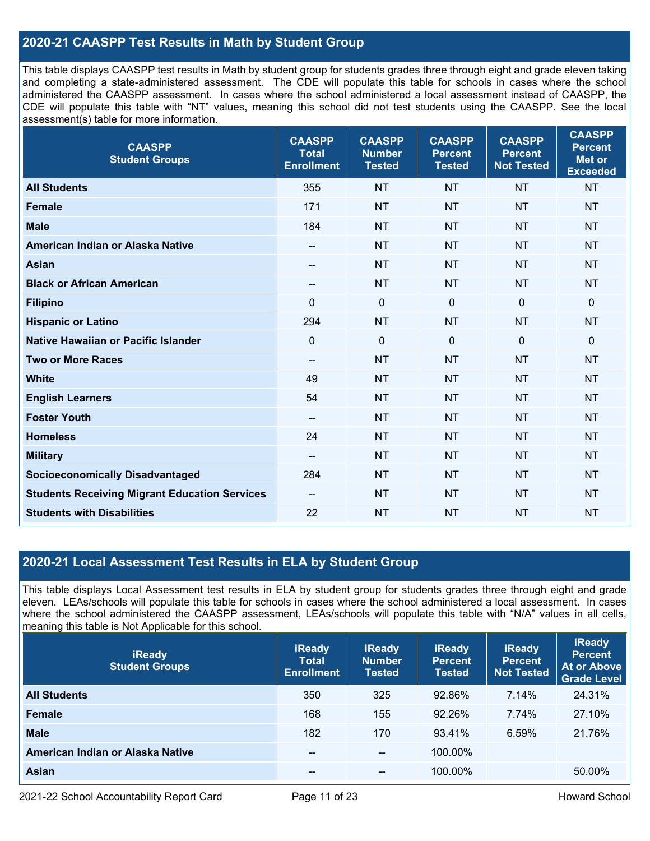# **2020-21 CAASPP Test Results in Math by Student Group**

This table displays CAASPP test results in Math by student group for students grades three through eight and grade eleven taking and completing a state-administered assessment. The CDE will populate this table for schools in cases where the school administered the CAASPP assessment. In cases where the school administered a local assessment instead of CAASPP, the CDE will populate this table with "NT" values, meaning this school did not test students using the CAASPP. See the local assessment(s) table for more information.

| <b>CAASPP</b><br><b>Student Groups</b>               | <b>CAASPP</b><br><b>Total</b><br><b>Enrollment</b> | <b>CAASPP</b><br><b>Number</b><br><b>Tested</b> | <b>CAASPP</b><br><b>Percent</b><br><b>Tested</b> | <b>CAASPP</b><br><b>Percent</b><br><b>Not Tested</b> | <b>CAASPP</b><br><b>Percent</b><br><b>Met or</b><br><b>Exceeded</b> |
|------------------------------------------------------|----------------------------------------------------|-------------------------------------------------|--------------------------------------------------|------------------------------------------------------|---------------------------------------------------------------------|
| <b>All Students</b>                                  | 355                                                | <b>NT</b>                                       | <b>NT</b>                                        | <b>NT</b>                                            | <b>NT</b>                                                           |
| <b>Female</b>                                        | 171                                                | <b>NT</b>                                       | <b>NT</b>                                        | <b>NT</b>                                            | <b>NT</b>                                                           |
| <b>Male</b>                                          | 184                                                | <b>NT</b>                                       | <b>NT</b>                                        | <b>NT</b>                                            | <b>NT</b>                                                           |
| American Indian or Alaska Native                     | $- -$                                              | <b>NT</b>                                       | <b>NT</b>                                        | <b>NT</b>                                            | <b>NT</b>                                                           |
| <b>Asian</b>                                         | $\overline{\phantom{a}}$                           | <b>NT</b>                                       | <b>NT</b>                                        | <b>NT</b>                                            | <b>NT</b>                                                           |
| <b>Black or African American</b>                     | $\qquad \qquad -$                                  | <b>NT</b>                                       | <b>NT</b>                                        | <b>NT</b>                                            | <b>NT</b>                                                           |
| <b>Filipino</b>                                      | $\Omega$                                           | $\mathbf 0$                                     | $\mathbf{0}$                                     | $\mathbf 0$                                          | $\mathbf 0$                                                         |
| <b>Hispanic or Latino</b>                            | 294                                                | <b>NT</b>                                       | <b>NT</b>                                        | <b>NT</b>                                            | <b>NT</b>                                                           |
| <b>Native Hawaiian or Pacific Islander</b>           | $\mathbf 0$                                        | $\mathbf 0$                                     | $\mathbf{0}$                                     | $\mathbf 0$                                          | $\mathbf 0$                                                         |
| <b>Two or More Races</b>                             | $\qquad \qquad -$                                  | <b>NT</b>                                       | <b>NT</b>                                        | <b>NT</b>                                            | <b>NT</b>                                                           |
| <b>White</b>                                         | 49                                                 | <b>NT</b>                                       | <b>NT</b>                                        | <b>NT</b>                                            | <b>NT</b>                                                           |
| <b>English Learners</b>                              | 54                                                 | <b>NT</b>                                       | <b>NT</b>                                        | <b>NT</b>                                            | <b>NT</b>                                                           |
| <b>Foster Youth</b>                                  | $\overline{\phantom{a}}$                           | <b>NT</b>                                       | <b>NT</b>                                        | <b>NT</b>                                            | <b>NT</b>                                                           |
| <b>Homeless</b>                                      | 24                                                 | <b>NT</b>                                       | <b>NT</b>                                        | <b>NT</b>                                            | <b>NT</b>                                                           |
| <b>Military</b>                                      | $\qquad \qquad -$                                  | <b>NT</b>                                       | <b>NT</b>                                        | <b>NT</b>                                            | <b>NT</b>                                                           |
| <b>Socioeconomically Disadvantaged</b>               | 284                                                | <b>NT</b>                                       | <b>NT</b>                                        | <b>NT</b>                                            | <b>NT</b>                                                           |
| <b>Students Receiving Migrant Education Services</b> | --                                                 | <b>NT</b>                                       | <b>NT</b>                                        | <b>NT</b>                                            | <b>NT</b>                                                           |
| <b>Students with Disabilities</b>                    | 22                                                 | <b>NT</b>                                       | <b>NT</b>                                        | <b>NT</b>                                            | <b>NT</b>                                                           |

# **2020-21 Local Assessment Test Results in ELA by Student Group**

This table displays Local Assessment test results in ELA by student group for students grades three through eight and grade eleven. LEAs/schools will populate this table for schools in cases where the school administered a local assessment. In cases where the school administered the CAASPP assessment, LEAs/schools will populate this table with "N/A" values in all cells, meaning this table is Not Applicable for this school.

| <b>iReady</b><br><b>Student Groups</b> | <b>iReady</b><br><b>Total</b><br><b>Enrollment</b> | <b>iReady</b><br><b>Number</b><br><b>Tested</b> | <b>iReady</b><br><b>Percent</b><br><b>Tested</b> | <b>iReady</b><br>Percent<br><b>Not Tested</b> | <b>iReady</b><br><b>Percent</b><br><b>At or Above</b><br><b>Grade Level</b> |
|----------------------------------------|----------------------------------------------------|-------------------------------------------------|--------------------------------------------------|-----------------------------------------------|-----------------------------------------------------------------------------|
| <b>All Students</b>                    | 350                                                | 325                                             | 92.86%                                           | 7.14%                                         | 24.31%                                                                      |
| <b>Female</b>                          | 168                                                | 155                                             | 92.26%                                           | 7.74%                                         | 27.10%                                                                      |
| <b>Male</b>                            | 182                                                | 170                                             | 93.41%                                           | 6.59%                                         | 21.76%                                                                      |
| American Indian or Alaska Native       | --                                                 | $\overline{\phantom{a}}$                        | 100.00%                                          |                                               |                                                                             |
| Asian                                  | --                                                 | $- -$                                           | 100.00%                                          |                                               | 50.00%                                                                      |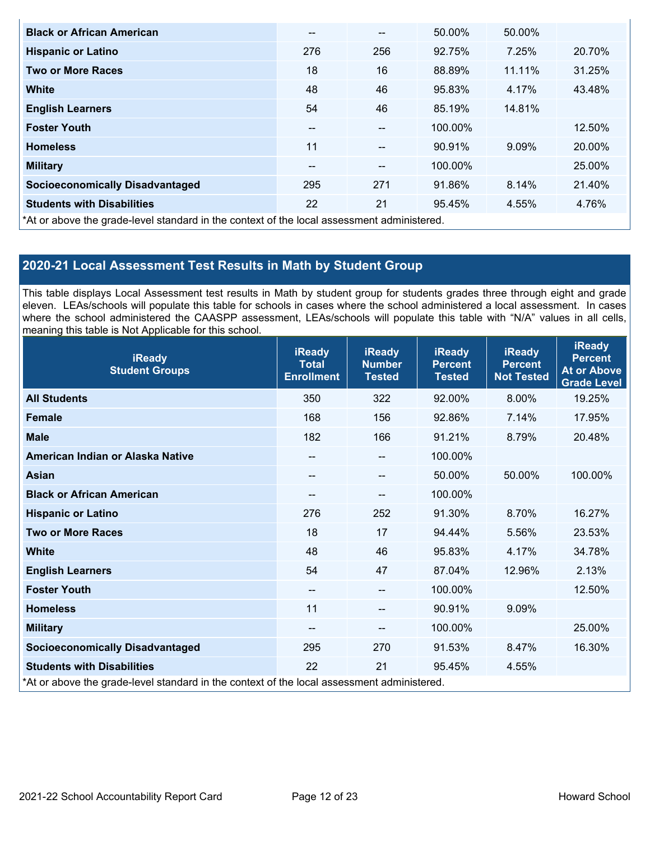| <b>Black or African American</b>                                                           | $- -$ | $\overline{\phantom{m}}$ | 50.00%  | 50.00% |        |
|--------------------------------------------------------------------------------------------|-------|--------------------------|---------|--------|--------|
| <b>Hispanic or Latino</b>                                                                  | 276   | 256                      | 92.75%  | 7.25%  | 20.70% |
| <b>Two or More Races</b>                                                                   | 18    | 16                       | 88.89%  | 11.11% | 31.25% |
| <b>White</b>                                                                               | 48    | 46                       | 95.83%  | 4.17%  | 43.48% |
| <b>English Learners</b>                                                                    | 54    | 46                       | 85.19%  | 14.81% |        |
| <b>Foster Youth</b>                                                                        | $- -$ | --                       | 100.00% |        | 12.50% |
| <b>Homeless</b>                                                                            | 11    | $\sim$ $\sim$            | 90.91%  | 9.09%  | 20.00% |
| <b>Military</b>                                                                            | --    | $\overline{\phantom{m}}$ | 100.00% |        | 25.00% |
| <b>Socioeconomically Disadvantaged</b>                                                     | 295   | 271                      | 91.86%  | 8.14%  | 21.40% |
| <b>Students with Disabilities</b>                                                          | 22    | 21                       | 95.45%  | 4.55%  | 4.76%  |
| *At or above the grade-level standard in the context of the local assessment administered. |       |                          |         |        |        |

# **2020-21 Local Assessment Test Results in Math by Student Group**

This table displays Local Assessment test results in Math by student group for students grades three through eight and grade eleven. LEAs/schools will populate this table for schools in cases where the school administered a local assessment. In cases where the school administered the CAASPP assessment, LEAs/schools will populate this table with "N/A" values in all cells, meaning this table is Not Applicable for this school.

| <b>iReady</b><br><b>Student Groups</b>                                                     | <b>iReady</b><br><b>Total</b><br><b>Enrollment</b> | <b>iReady</b><br><b>Number</b><br><b>Tested</b> | <b>iReady</b><br><b>Percent</b><br><b>Tested</b> | <b>iReady</b><br><b>Percent</b><br><b>Not Tested</b> | <b>iReady</b><br><b>Percent</b><br><b>At or Above</b><br><b>Grade Level</b> |
|--------------------------------------------------------------------------------------------|----------------------------------------------------|-------------------------------------------------|--------------------------------------------------|------------------------------------------------------|-----------------------------------------------------------------------------|
| <b>All Students</b>                                                                        | 350                                                | 322                                             | 92.00%                                           | 8.00%                                                | 19.25%                                                                      |
| <b>Female</b>                                                                              | 168                                                | 156                                             | 92.86%                                           | 7.14%                                                | 17.95%                                                                      |
| <b>Male</b>                                                                                | 182                                                | 166                                             | 91.21%                                           | 8.79%                                                | 20.48%                                                                      |
| American Indian or Alaska Native                                                           | --                                                 | $\qquad \qquad -$                               | 100.00%                                          |                                                      |                                                                             |
| <b>Asian</b>                                                                               | --                                                 | $\sim$                                          | 50.00%                                           | 50.00%                                               | 100.00%                                                                     |
| <b>Black or African American</b>                                                           | --                                                 | $\qquad \qquad -$                               | 100.00%                                          |                                                      |                                                                             |
| <b>Hispanic or Latino</b>                                                                  | 276                                                | 252                                             | 91.30%                                           | 8.70%                                                | 16.27%                                                                      |
| <b>Two or More Races</b>                                                                   | 18                                                 | 17                                              | 94.44%                                           | 5.56%                                                | 23.53%                                                                      |
| <b>White</b>                                                                               | 48                                                 | 46                                              | 95.83%                                           | 4.17%                                                | 34.78%                                                                      |
| <b>English Learners</b>                                                                    | 54                                                 | 47                                              | 87.04%                                           | 12.96%                                               | 2.13%                                                                       |
| <b>Foster Youth</b>                                                                        | $\qquad \qquad -$                                  | --                                              | 100.00%                                          |                                                      | 12.50%                                                                      |
| <b>Homeless</b>                                                                            | 11                                                 | --                                              | 90.91%                                           | 9.09%                                                |                                                                             |
| <b>Military</b>                                                                            | --                                                 | $\qquad \qquad -$                               | 100.00%                                          |                                                      | 25.00%                                                                      |
| <b>Socioeconomically Disadvantaged</b>                                                     | 295                                                | 270                                             | 91.53%                                           | 8.47%                                                | 16.30%                                                                      |
| <b>Students with Disabilities</b>                                                          | 22                                                 | 21                                              | 95.45%                                           | 4.55%                                                |                                                                             |
| *At or above the grade-level standard in the context of the local assessment administered. |                                                    |                                                 |                                                  |                                                      |                                                                             |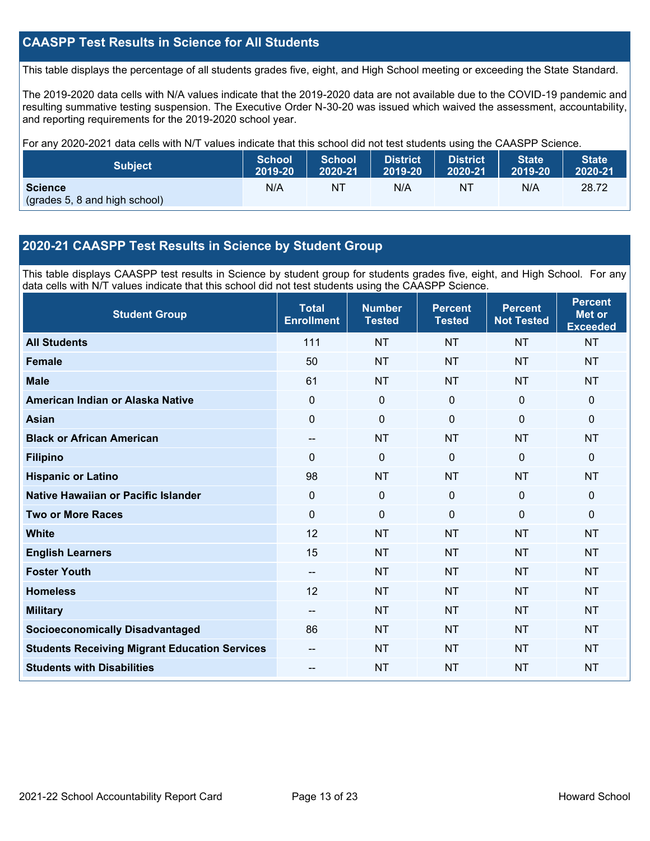# **CAASPP Test Results in Science for All Students**

This table displays the percentage of all students grades five, eight, and High School meeting or exceeding the State Standard.

The 2019-2020 data cells with N/A values indicate that the 2019-2020 data are not available due to the COVID-19 pandemic and resulting summative testing suspension. The Executive Order N-30-20 was issued which waived the assessment, accountability, and reporting requirements for the 2019-2020 school year.

For any 2020-2021 data cells with N/T values indicate that this school did not test students using the CAASPP Science.

| <b>Subject</b>                                  | <b>School</b> | <b>School</b> | <b>District</b> | District. | <b>State</b> | <b>State</b> |
|-------------------------------------------------|---------------|---------------|-----------------|-----------|--------------|--------------|
|                                                 | 2019-20       | 2020-21       | 2019-20         | 2020-21   | 2019-20      | 2020-21      |
| <b>Science</b><br>(grades 5, 8 and high school) | N/A           | NT            | N/A             | NT        | N/A          | 28.72        |

# **2020-21 CAASPP Test Results in Science by Student Group**

This table displays CAASPP test results in Science by student group for students grades five, eight, and High School. For any data cells with N/T values indicate that this school did not test students using the CAASPP Science.

| <b>Student Group</b>                                 | <b>Total</b><br><b>Enrollment</b> | <b>Number</b><br><b>Tested</b> | <b>Percent</b><br><b>Tested</b> | <b>Percent</b><br><b>Not Tested</b> | <b>Percent</b><br><b>Met or</b><br><b>Exceeded</b> |
|------------------------------------------------------|-----------------------------------|--------------------------------|---------------------------------|-------------------------------------|----------------------------------------------------|
| <b>All Students</b>                                  | 111                               | <b>NT</b>                      | <b>NT</b>                       | <b>NT</b>                           | <b>NT</b>                                          |
| <b>Female</b>                                        | 50                                | <b>NT</b>                      | <b>NT</b>                       | <b>NT</b>                           | <b>NT</b>                                          |
| <b>Male</b>                                          | 61                                | <b>NT</b>                      | <b>NT</b>                       | <b>NT</b>                           | <b>NT</b>                                          |
| American Indian or Alaska Native                     | 0                                 | 0                              | $\mathbf 0$                     | $\mathbf 0$                         | $\mathbf 0$                                        |
| <b>Asian</b>                                         | $\overline{0}$                    | $\pmb{0}$                      | $\mathbf 0$                     | $\overline{0}$                      | $\mathbf 0$                                        |
| <b>Black or African American</b>                     | --                                | <b>NT</b>                      | <b>NT</b>                       | <b>NT</b>                           | <b>NT</b>                                          |
| <b>Filipino</b>                                      | $\Omega$                          | 0                              | $\mathbf 0$                     | 0                                   | $\mathbf 0$                                        |
| <b>Hispanic or Latino</b>                            | 98                                | <b>NT</b>                      | <b>NT</b>                       | <b>NT</b>                           | <b>NT</b>                                          |
| Native Hawaiian or Pacific Islander                  | 0                                 | $\mathbf 0$                    | $\mathbf{0}$                    | $\overline{0}$                      | $\mathbf 0$                                        |
| <b>Two or More Races</b>                             | 0                                 | $\mathbf{0}$                   | $\mathbf{0}$                    | $\mathbf 0$                         | $\mathbf 0$                                        |
| <b>White</b>                                         | 12                                | <b>NT</b>                      | <b>NT</b>                       | <b>NT</b>                           | <b>NT</b>                                          |
| <b>English Learners</b>                              | 15                                | <b>NT</b>                      | <b>NT</b>                       | <b>NT</b>                           | <b>NT</b>                                          |
| <b>Foster Youth</b>                                  | --                                | <b>NT</b>                      | <b>NT</b>                       | <b>NT</b>                           | <b>NT</b>                                          |
| <b>Homeless</b>                                      | 12                                | <b>NT</b>                      | <b>NT</b>                       | <b>NT</b>                           | <b>NT</b>                                          |
| <b>Military</b>                                      | --                                | <b>NT</b>                      | <b>NT</b>                       | <b>NT</b>                           | <b>NT</b>                                          |
| <b>Socioeconomically Disadvantaged</b>               | 86                                | <b>NT</b>                      | <b>NT</b>                       | <b>NT</b>                           | <b>NT</b>                                          |
| <b>Students Receiving Migrant Education Services</b> | --                                | <b>NT</b>                      | <b>NT</b>                       | <b>NT</b>                           | <b>NT</b>                                          |
| <b>Students with Disabilities</b>                    | --                                | <b>NT</b>                      | <b>NT</b>                       | <b>NT</b>                           | <b>NT</b>                                          |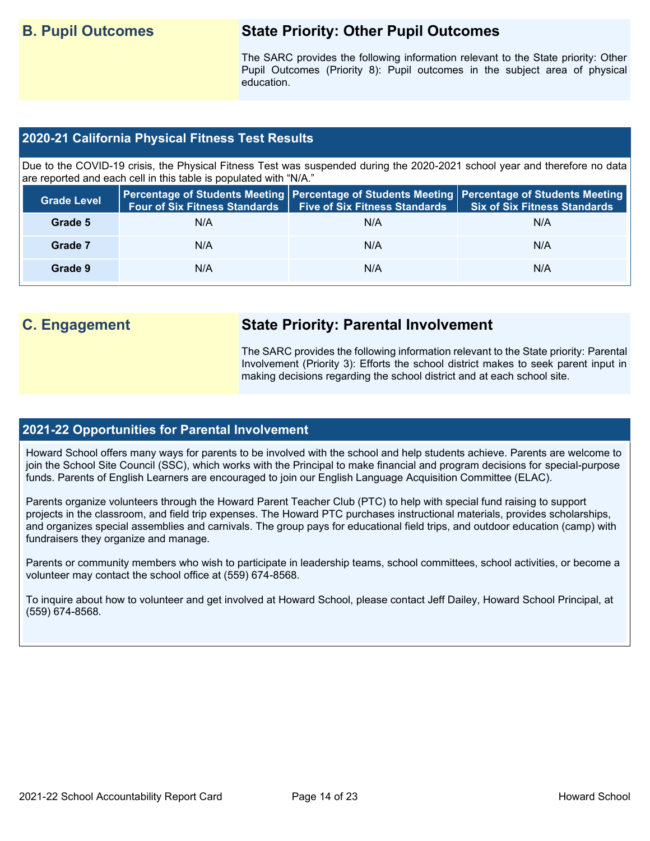# **B. Pupil Outcomes State Priority: Other Pupil Outcomes**

The SARC provides the following information relevant to the State priority: Other Pupil Outcomes (Priority 8): Pupil outcomes in the subject area of physical education.

# **2020-21 California Physical Fitness Test Results**

Due to the COVID-19 crisis, the Physical Fitness Test was suspended during the 2020-2021 school year and therefore no data are reported and each cell in this table is populated with "N/A."

| <b>Grade Level</b> | <b>Four of Six Fitness Standards</b> | <b>Five of Six Fitness Standards</b> | Percentage of Students Meeting   Percentage of Students Meeting   Percentage of Students Meeting  <br><b>Six of Six Fitness Standards</b> |
|--------------------|--------------------------------------|--------------------------------------|-------------------------------------------------------------------------------------------------------------------------------------------|
| Grade 5            | N/A                                  | N/A                                  | N/A                                                                                                                                       |
| Grade 7            | N/A                                  | N/A                                  | N/A                                                                                                                                       |
| Grade 9            | N/A                                  | N/A                                  | N/A                                                                                                                                       |

# **C. Engagement State Priority: Parental Involvement**

The SARC provides the following information relevant to the State priority: Parental Involvement (Priority 3): Efforts the school district makes to seek parent input in making decisions regarding the school district and at each school site.

## **2021-22 Opportunities for Parental Involvement**

Howard School offers many ways for parents to be involved with the school and help students achieve. Parents are welcome to join the School Site Council (SSC), which works with the Principal to make financial and program decisions for special-purpose funds. Parents of English Learners are encouraged to join our English Language Acquisition Committee (ELAC).

Parents organize volunteers through the Howard Parent Teacher Club (PTC) to help with special fund raising to support projects in the classroom, and field trip expenses. The Howard PTC purchases instructional materials, provides scholarships, and organizes special assemblies and carnivals. The group pays for educational field trips, and outdoor education (camp) with fundraisers they organize and manage.

Parents or community members who wish to participate in leadership teams, school committees, school activities, or become a volunteer may contact the school office at (559) 674-8568.

To inquire about how to volunteer and get involved at Howard School, please contact Jeff Dailey, Howard School Principal, at (559) 674-8568.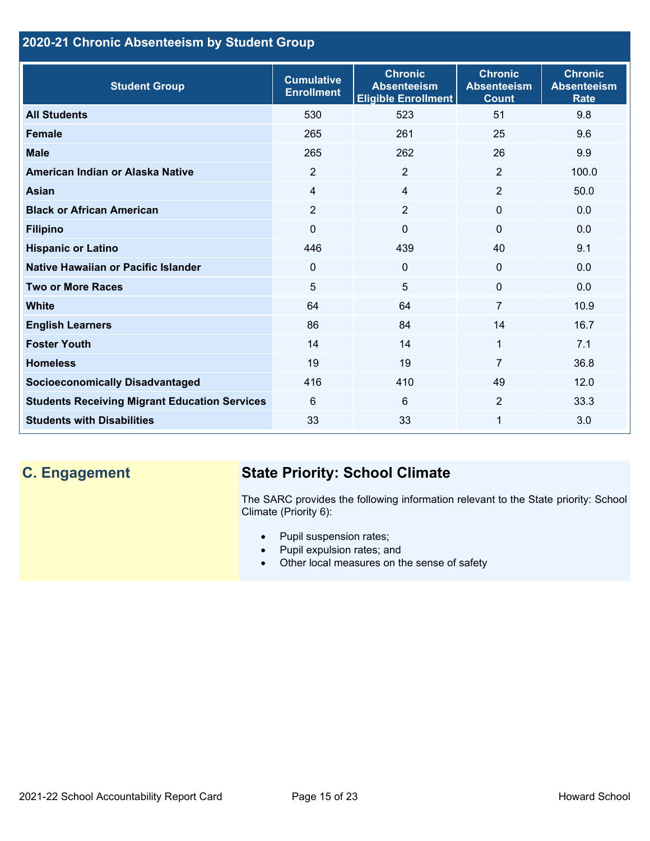# **2020-21 Chronic Absenteeism by Student Group**

| <b>Student Group</b>                                 | <b>Cumulative</b><br><b>Enrollment</b> | <b>Chronic</b><br><b>Absenteeism</b><br><b>Eligible Enrollment</b> | <b>Chronic</b><br><b>Absenteeism</b><br><b>Count</b> | <b>Chronic</b><br><b>Absenteeism</b><br><b>Rate</b> |
|------------------------------------------------------|----------------------------------------|--------------------------------------------------------------------|------------------------------------------------------|-----------------------------------------------------|
| <b>All Students</b>                                  | 530                                    | 523                                                                | 51                                                   | 9.8                                                 |
| <b>Female</b>                                        | 265                                    | 261                                                                | 25                                                   | 9.6                                                 |
| <b>Male</b>                                          | 265                                    | 262                                                                | 26                                                   | 9.9                                                 |
| American Indian or Alaska Native                     | 2                                      | $\overline{2}$                                                     | 2                                                    | 100.0                                               |
| <b>Asian</b>                                         | $\overline{4}$                         | $\overline{4}$                                                     | $\overline{2}$                                       | 50.0                                                |
| <b>Black or African American</b>                     | $\overline{2}$                         | $\overline{2}$                                                     | $\mathbf{0}$                                         | 0.0                                                 |
| <b>Filipino</b>                                      | 0                                      | $\mathbf 0$                                                        | $\mathbf{0}$                                         | 0.0                                                 |
| <b>Hispanic or Latino</b>                            | 446                                    | 439                                                                | 40                                                   | 9.1                                                 |
| Native Hawaiian or Pacific Islander                  | 0                                      | $\mathbf 0$                                                        | $\mathbf 0$                                          | 0.0                                                 |
| <b>Two or More Races</b>                             | 5                                      | 5                                                                  | $\mathbf{0}$                                         | 0.0                                                 |
| <b>White</b>                                         | 64                                     | 64                                                                 | $\overline{7}$                                       | 10.9                                                |
| <b>English Learners</b>                              | 86                                     | 84                                                                 | 14                                                   | 16.7                                                |
| <b>Foster Youth</b>                                  | 14                                     | 14                                                                 | 1                                                    | 7.1                                                 |
| <b>Homeless</b>                                      | 19                                     | 19                                                                 | $\overline{7}$                                       | 36.8                                                |
| <b>Socioeconomically Disadvantaged</b>               | 416                                    | 410                                                                | 49                                                   | 12.0                                                |
| <b>Students Receiving Migrant Education Services</b> | 6                                      | 6                                                                  | $\overline{2}$                                       | 33.3                                                |
| <b>Students with Disabilities</b>                    | 33                                     | 33                                                                 | 1                                                    | 3.0                                                 |

# **C. Engagement State Priority: School Climate**

The SARC provides the following information relevant to the State priority: School Climate (Priority 6):

- Pupil suspension rates;
- Pupil expulsion rates; and
- Other local measures on the sense of safety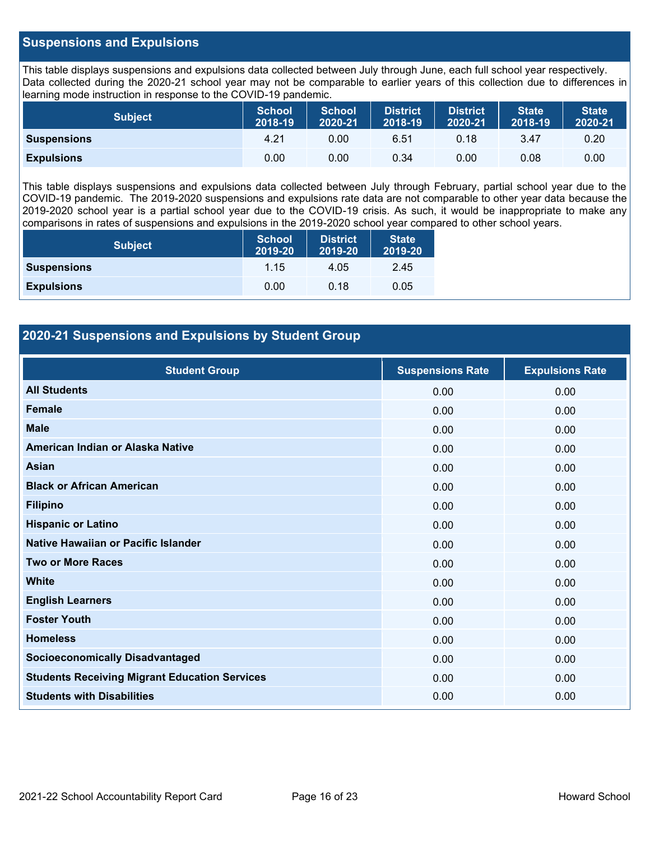# **Suspensions and Expulsions**

This table displays suspensions and expulsions data collected between July through June, each full school year respectively. Data collected during the 2020-21 school year may not be comparable to earlier years of this collection due to differences in learning mode instruction in response to the COVID-19 pandemic.

| <b>Subject</b>     | <b>School</b><br>2018-19 | <b>School</b><br>2020-21 | <b>District</b><br>2018-19 | <b>District</b><br>2020-21 | <b>State</b><br>2018-19 | <b>State</b><br>2020-21 |
|--------------------|--------------------------|--------------------------|----------------------------|----------------------------|-------------------------|-------------------------|
| <b>Suspensions</b> | 4.21                     | 0.00                     | 6.51                       | 0.18                       | 3.47                    | 0.20                    |
| <b>Expulsions</b>  | 0.00                     | 0.00                     | 0.34                       | 0.00                       | 0.08                    | 0.00                    |

This table displays suspensions and expulsions data collected between July through February, partial school year due to the COVID-19 pandemic. The 2019-2020 suspensions and expulsions rate data are not comparable to other year data because the 2019-2020 school year is a partial school year due to the COVID-19 crisis. As such, it would be inappropriate to make any comparisons in rates of suspensions and expulsions in the 2019-2020 school year compared to other school years.

| <b>Subject</b>     | <b>School</b><br>2019-20 | <b>District</b><br>2019-20 | <b>State</b><br>2019-20 |
|--------------------|--------------------------|----------------------------|-------------------------|
| <b>Suspensions</b> | 1.15                     | 4.05                       | 2.45                    |
| <b>Expulsions</b>  | 0.00                     | 0.18                       | 0.05                    |

# **2020-21 Suspensions and Expulsions by Student Group**

| <b>Student Group</b>                                 | <b>Suspensions Rate</b> | <b>Expulsions Rate</b> |
|------------------------------------------------------|-------------------------|------------------------|
| <b>All Students</b>                                  | 0.00                    | 0.00                   |
| <b>Female</b>                                        | 0.00                    | 0.00                   |
| <b>Male</b>                                          | 0.00                    | 0.00                   |
| American Indian or Alaska Native                     | 0.00                    | 0.00                   |
| <b>Asian</b>                                         | 0.00                    | 0.00                   |
| <b>Black or African American</b>                     | 0.00                    | 0.00                   |
| <b>Filipino</b>                                      | 0.00                    | 0.00                   |
| <b>Hispanic or Latino</b>                            | 0.00                    | 0.00                   |
| Native Hawaiian or Pacific Islander                  | 0.00                    | 0.00                   |
| <b>Two or More Races</b>                             | 0.00                    | 0.00                   |
| <b>White</b>                                         | 0.00                    | 0.00                   |
| <b>English Learners</b>                              | 0.00                    | 0.00                   |
| <b>Foster Youth</b>                                  | 0.00                    | 0.00                   |
| <b>Homeless</b>                                      | 0.00                    | 0.00                   |
| <b>Socioeconomically Disadvantaged</b>               | 0.00                    | 0.00                   |
| <b>Students Receiving Migrant Education Services</b> | 0.00                    | 0.00                   |
| <b>Students with Disabilities</b>                    | 0.00                    | 0.00                   |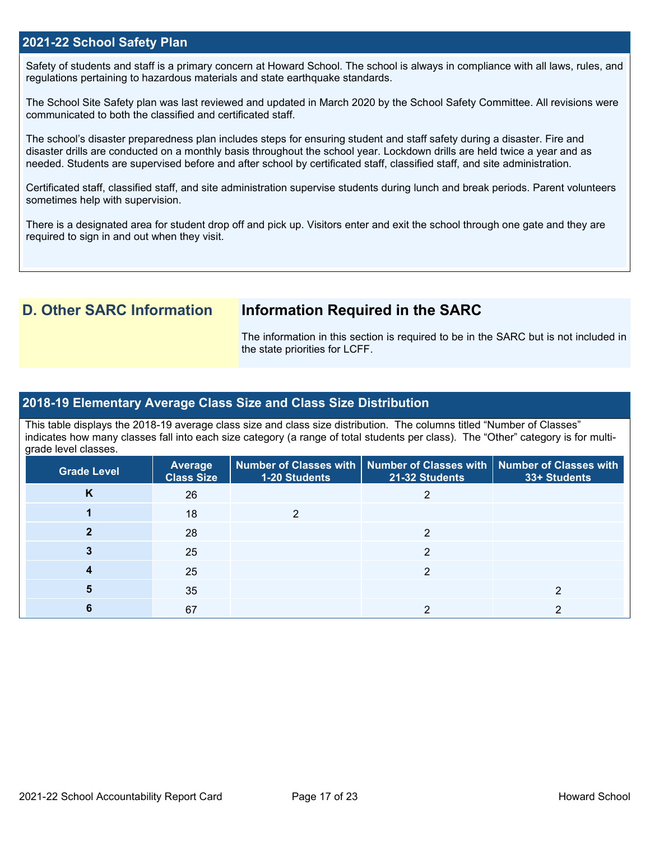## **2021-22 School Safety Plan**

Safety of students and staff is a primary concern at Howard School. The school is always in compliance with all laws, rules, and regulations pertaining to hazardous materials and state earthquake standards.

The School Site Safety plan was last reviewed and updated in March 2020 by the School Safety Committee. All revisions were communicated to both the classified and certificated staff.

The school's disaster preparedness plan includes steps for ensuring student and staff safety during a disaster. Fire and disaster drills are conducted on a monthly basis throughout the school year. Lockdown drills are held twice a year and as needed. Students are supervised before and after school by certificated staff, classified staff, and site administration.

Certificated staff, classified staff, and site administration supervise students during lunch and break periods. Parent volunteers sometimes help with supervision.

There is a designated area for student drop off and pick up. Visitors enter and exit the school through one gate and they are required to sign in and out when they visit.

# **D. Other SARC Information Information Required in the SARC**

The information in this section is required to be in the SARC but is not included in the state priorities for LCFF.

# **2018-19 Elementary Average Class Size and Class Size Distribution**

This table displays the 2018-19 average class size and class size distribution. The columns titled "Number of Classes" indicates how many classes fall into each size category (a range of total students per class). The "Other" category is for multigrade level classes.

| Grade Level | <b>Average</b><br><b>Class Size</b> | <b>1-20 Students</b> | Number of Classes with   Number of Classes with   Number of Classes with<br>21-32 Students | 33+ Students |
|-------------|-------------------------------------|----------------------|--------------------------------------------------------------------------------------------|--------------|
| K           | 26                                  |                      |                                                                                            |              |
|             | 18                                  |                      |                                                                                            |              |
|             | 28                                  |                      | ◠                                                                                          |              |
|             | 25                                  |                      | າ                                                                                          |              |
|             | 25                                  |                      | ◠                                                                                          |              |
|             | 35                                  |                      |                                                                                            |              |
|             | 67                                  |                      |                                                                                            |              |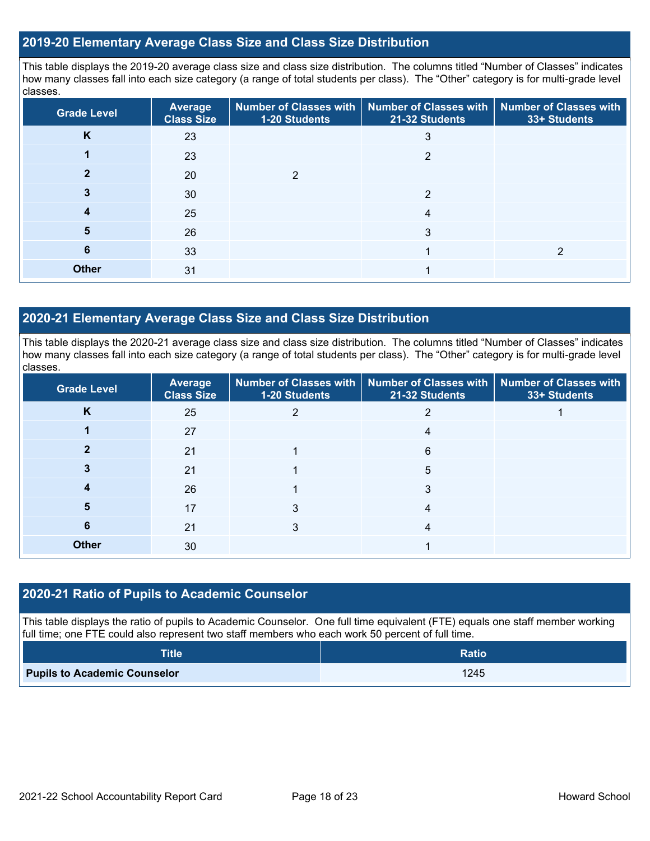# **2019-20 Elementary Average Class Size and Class Size Distribution**

This table displays the 2019-20 average class size and class size distribution. The columns titled "Number of Classes" indicates how many classes fall into each size category (a range of total students per class). The "Other" category is for multi-grade level classes.

| <b>Grade Level</b> | Average<br><b>Class Size</b> | 1-20 Students | Number of Classes with   Number of Classes with<br>21-32 Students | <b>Number of Classes with</b><br>33+ Students |
|--------------------|------------------------------|---------------|-------------------------------------------------------------------|-----------------------------------------------|
| K                  | 23                           |               | 3                                                                 |                                               |
|                    | 23                           |               | 2                                                                 |                                               |
|                    | 20                           | ົ             |                                                                   |                                               |
|                    | 30                           |               | $\overline{2}$                                                    |                                               |
|                    | 25                           |               | 4                                                                 |                                               |
| 5                  | 26                           |               | 3                                                                 |                                               |
| 6                  | 33                           |               |                                                                   | ≘                                             |
| <b>Other</b>       | 31                           |               |                                                                   |                                               |

# **2020-21 Elementary Average Class Size and Class Size Distribution**

This table displays the 2020-21 average class size and class size distribution. The columns titled "Number of Classes" indicates how many classes fall into each size category (a range of total students per class). The "Other" category is for multi-grade level classes.

| <b>Grade Level</b> | Average<br><b>Class Size</b> | <b>1-20 Students</b> | Number of Classes with   Number of Classes with   Number of Classes with<br>21-32 Students | 33+ Students |
|--------------------|------------------------------|----------------------|--------------------------------------------------------------------------------------------|--------------|
| K                  | 25                           | 2                    | 2                                                                                          |              |
|                    | 27                           |                      | 4                                                                                          |              |
|                    | 21                           |                      | 6                                                                                          |              |
|                    | 21                           |                      | 5                                                                                          |              |
|                    | 26                           |                      | 3                                                                                          |              |
| 5                  | 17                           | 3                    | 4                                                                                          |              |
| 6                  | 21                           | 3                    | 4                                                                                          |              |
| <b>Other</b>       | 30                           |                      |                                                                                            |              |

## **2020-21 Ratio of Pupils to Academic Counselor**

This table displays the ratio of pupils to Academic Counselor. One full time equivalent (FTE) equals one staff member working full time; one FTE could also represent two staff members who each work 50 percent of full time.

| <b>Title</b>                        | <b>Ratio</b> |
|-------------------------------------|--------------|
| <b>Pupils to Academic Counselor</b> | 1245         |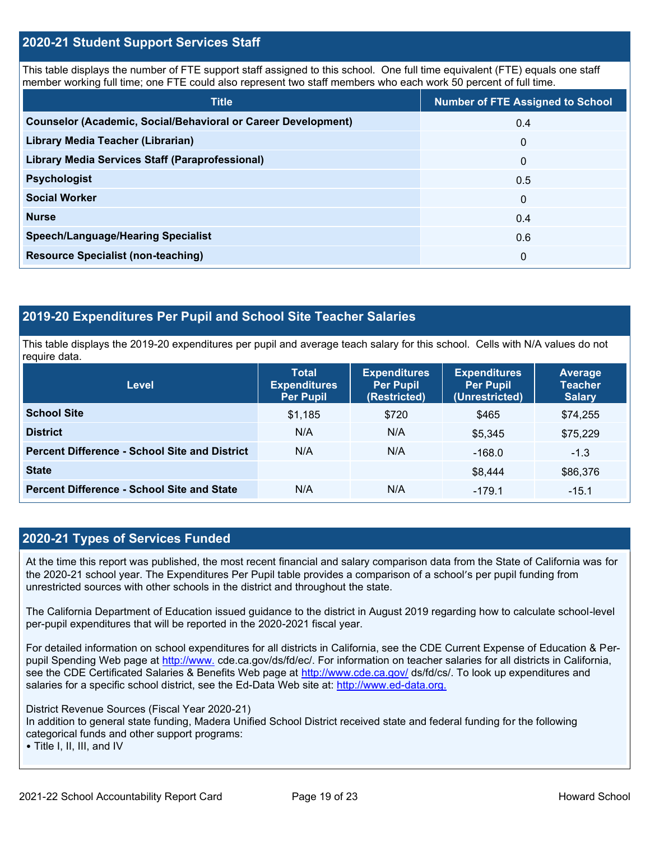# **2020-21 Student Support Services Staff**

This table displays the number of FTE support staff assigned to this school. One full time equivalent (FTE) equals one staff member working full time; one FTE could also represent two staff members who each work 50 percent of full time.

| <b>Title</b>                                                         | <b>Number of FTE Assigned to School</b> |
|----------------------------------------------------------------------|-----------------------------------------|
| <b>Counselor (Academic, Social/Behavioral or Career Development)</b> | 0.4                                     |
| Library Media Teacher (Librarian)                                    | $\mathbf{0}$                            |
| <b>Library Media Services Staff (Paraprofessional)</b>               | $\mathbf{0}$                            |
| <b>Psychologist</b>                                                  | 0.5                                     |
| <b>Social Worker</b>                                                 | $\mathbf{0}$                            |
| <b>Nurse</b>                                                         | 0.4                                     |
| <b>Speech/Language/Hearing Specialist</b>                            | 0.6                                     |
| <b>Resource Specialist (non-teaching)</b>                            | $\Omega$                                |

# **2019-20 Expenditures Per Pupil and School Site Teacher Salaries**

This table displays the 2019-20 expenditures per pupil and average teach salary for this school. Cells with N/A values do not require data.

| Level                                                | <b>Total</b><br><b>Expenditures</b><br><b>Per Pupil</b> | <b>Expenditures</b><br><b>Per Pupil</b><br>(Restricted) | <b>Expenditures</b><br><b>Per Pupil</b><br>(Unrestricted) | Average<br><b>Teacher</b><br><b>Salary</b> |
|------------------------------------------------------|---------------------------------------------------------|---------------------------------------------------------|-----------------------------------------------------------|--------------------------------------------|
| <b>School Site</b>                                   | \$1,185                                                 | \$720                                                   | \$465                                                     | \$74,255                                   |
| <b>District</b>                                      | N/A                                                     | N/A                                                     | \$5.345                                                   | \$75,229                                   |
| <b>Percent Difference - School Site and District</b> | N/A                                                     | N/A                                                     | $-168.0$                                                  | $-1.3$                                     |
| <b>State</b>                                         |                                                         |                                                         | \$8,444                                                   | \$86,376                                   |
| <b>Percent Difference - School Site and State</b>    | N/A                                                     | N/A                                                     | $-179.1$                                                  | $-15.1$                                    |

# **2020-21 Types of Services Funded**

At the time this report was published, the most recent financial and salary comparison data from the State of California was for the 2020-21 school year. The Expenditures Per Pupil table provides a comparison of a school's per pupil funding from unrestricted sources with other schools in the district and throughout the state.

The California Department of Education issued guidance to the district in August 2019 regarding how to calculate school-level per-pupil expenditures that will be reported in the 2020-2021 fiscal year.

For detailed information on school expenditures for all districts in California, see the CDE Current Expense of Education & Perpupil Spending Web page at [http://www.](http://www./) cde.ca.gov/ds/fd/ec/. For information on teacher salaries for all districts in California, see the CDE Certificated Salaries & Benefits Web page at<http://www.cde.ca.gov/> ds/fd/cs/. To look up expenditures and salaries for a specific school district, see the Ed-Data Web site at: [http://www.ed-data.org.](http://www.ed-data.org./)

District Revenue Sources (Fiscal Year 2020-21)

In addition to general state funding, Madera Unified School District received state and federal funding for the following categorical funds and other support programs:

• Title I, II, III, and IV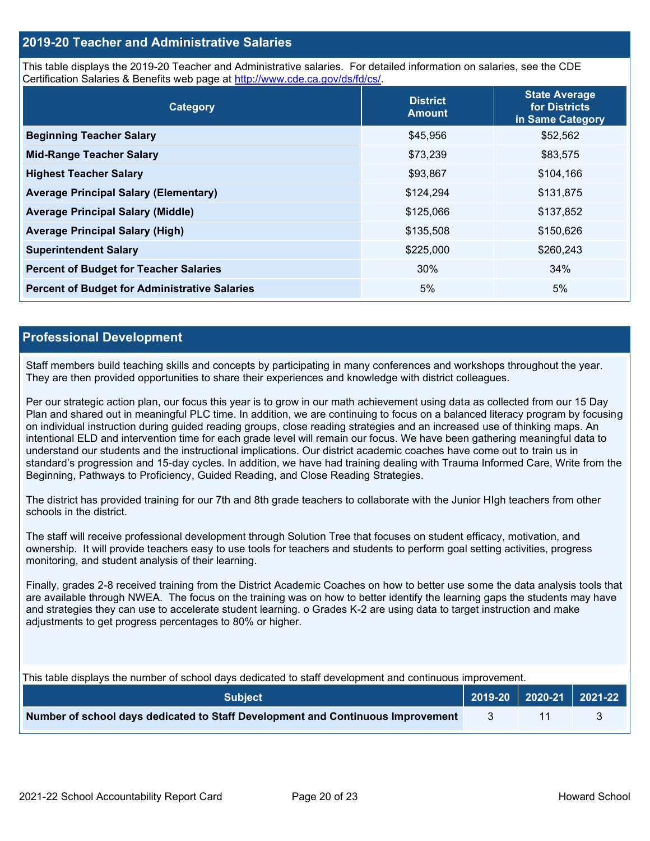# **2019-20 Teacher and Administrative Salaries**

This table displays the 2019-20 Teacher and Administrative salaries. For detailed information on salaries, see the CDE Certification Salaries & Benefits web page at [http://www.cde.ca.gov/ds/fd/cs/.](http://www.cde.ca.gov/ds/fd/cs/)

| Category                                             | <b>District</b><br><b>Amount</b> | <b>State Average</b><br>for Districts<br>in Same Category |
|------------------------------------------------------|----------------------------------|-----------------------------------------------------------|
| <b>Beginning Teacher Salary</b>                      | \$45,956                         | \$52,562                                                  |
| <b>Mid-Range Teacher Salary</b>                      | \$73,239                         | \$83,575                                                  |
| <b>Highest Teacher Salary</b>                        | \$93,867                         | \$104,166                                                 |
| <b>Average Principal Salary (Elementary)</b>         | \$124,294                        | \$131,875                                                 |
| <b>Average Principal Salary (Middle)</b>             | \$125,066                        | \$137,852                                                 |
| <b>Average Principal Salary (High)</b>               | \$135,508                        | \$150,626                                                 |
| <b>Superintendent Salary</b>                         | \$225,000                        | \$260,243                                                 |
| <b>Percent of Budget for Teacher Salaries</b>        | 30%                              | 34%                                                       |
| <b>Percent of Budget for Administrative Salaries</b> | 5%                               | 5%                                                        |

## **Professional Development**

Staff members build teaching skills and concepts by participating in many conferences and workshops throughout the year. They are then provided opportunities to share their experiences and knowledge with district colleagues.

Per our strategic action plan, our focus this year is to grow in our math achievement using data as collected from our 15 Day Plan and shared out in meaningful PLC time. In addition, we are continuing to focus on a balanced literacy program by focusing on individual instruction during guided reading groups, close reading strategies and an increased use of thinking maps. An intentional ELD and intervention time for each grade level will remain our focus. We have been gathering meaningful data to understand our students and the instructional implications. Our district academic coaches have come out to train us in standard's progression and 15-day cycles. In addition, we have had training dealing with Trauma Informed Care, Write from the Beginning, Pathways to Proficiency, Guided Reading, and Close Reading Strategies.

The district has provided training for our 7th and 8th grade teachers to collaborate with the Junior HIgh teachers from other schools in the district.

The staff will receive professional development through Solution Tree that focuses on student efficacy, motivation, and ownership. It will provide teachers easy to use tools for teachers and students to perform goal setting activities, progress monitoring, and student analysis of their learning.

Finally, grades 2-8 received training from the District Academic Coaches on how to better use some the data analysis tools that are available through NWEA. The focus on the training was on how to better identify the learning gaps the students may have and strategies they can use to accelerate student learning. o Grades K-2 are using data to target instruction and make adjustments to get progress percentages to 80% or higher.

This table displays the number of school days dedicated to staff development and continuous improvement.

| <b>Subject</b>                                                                  |  | 2019-20   2020-21   2021-22 |
|---------------------------------------------------------------------------------|--|-----------------------------|
| Number of school days dedicated to Staff Development and Continuous Improvement |  |                             |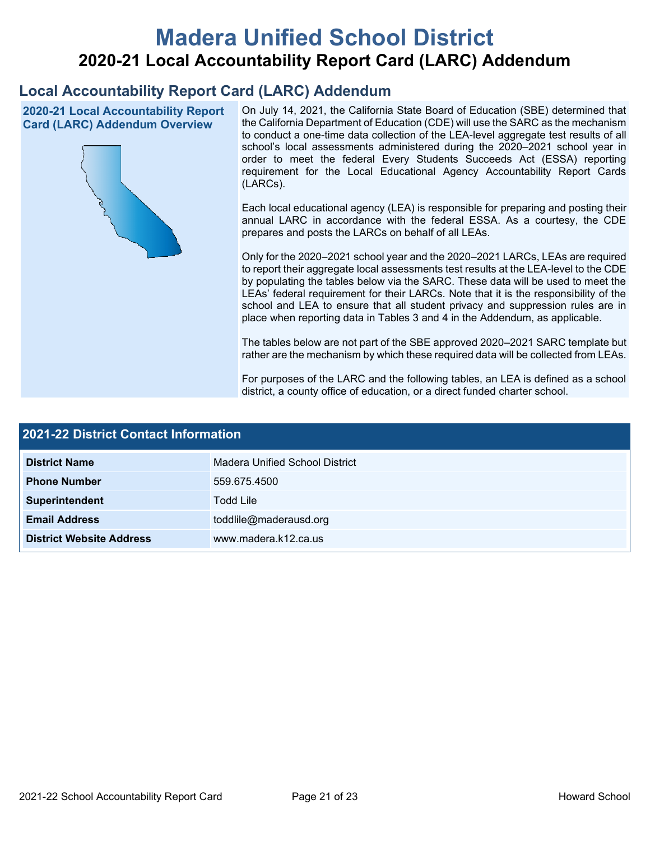# **Madera Unified School District 2020-21 Local Accountability Report Card (LARC) Addendum**

# **Local Accountability Report Card (LARC) Addendum**

**2020-21 Local Accountability Report Card (LARC) Addendum Overview**



On July 14, 2021, the California State Board of Education (SBE) determined that the California Department of Education (CDE) will use the SARC as the mechanism to conduct a one-time data collection of the LEA-level aggregate test results of all school's local assessments administered during the 2020–2021 school year in order to meet the federal Every Students Succeeds Act (ESSA) reporting requirement for the Local Educational Agency Accountability Report Cards (LARCs).

Each local educational agency (LEA) is responsible for preparing and posting their annual LARC in accordance with the federal ESSA. As a courtesy, the CDE prepares and posts the LARCs on behalf of all LEAs.

Only for the 2020–2021 school year and the 2020–2021 LARCs, LEAs are required to report their aggregate local assessments test results at the LEA-level to the CDE by populating the tables below via the SARC. These data will be used to meet the LEAs' federal requirement for their LARCs. Note that it is the responsibility of the school and LEA to ensure that all student privacy and suppression rules are in place when reporting data in Tables 3 and 4 in the Addendum, as applicable.

The tables below are not part of the SBE approved 2020–2021 SARC template but rather are the mechanism by which these required data will be collected from LEAs.

For purposes of the LARC and the following tables, an LEA is defined as a school district, a county office of education, or a direct funded charter school.

| 2021-22 District Contact Information |                                |  |  |  |
|--------------------------------------|--------------------------------|--|--|--|
| <b>District Name</b>                 | Madera Unified School District |  |  |  |
| <b>Phone Number</b>                  | 559.675.4500                   |  |  |  |
| Superintendent                       | <b>Todd Lile</b>               |  |  |  |
| <b>Email Address</b>                 | toddlile@maderausd.org         |  |  |  |
| <b>District Website Address</b>      | www.madera.k12.ca.us           |  |  |  |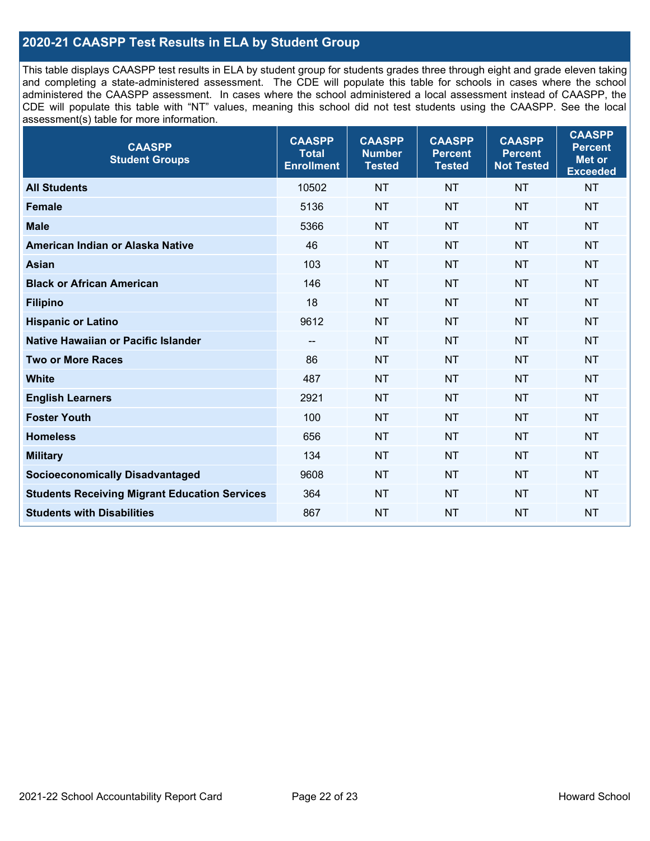# **2020-21 CAASPP Test Results in ELA by Student Group**

This table displays CAASPP test results in ELA by student group for students grades three through eight and grade eleven taking and completing a state-administered assessment. The CDE will populate this table for schools in cases where the school administered the CAASPP assessment. In cases where the school administered a local assessment instead of CAASPP, the CDE will populate this table with "NT" values, meaning this school did not test students using the CAASPP. See the local assessment(s) table for more information.

| <b>CAASPP</b><br><b>Student Groups</b>               | <b>CAASPP</b><br><b>Total</b><br><b>Enrollment</b> | <b>CAASPP</b><br><b>Number</b><br><b>Tested</b> | <b>CAASPP</b><br><b>Percent</b><br><b>Tested</b> | <b>CAASPP</b><br><b>Percent</b><br><b>Not Tested</b> | <b>CAASPP</b><br><b>Percent</b><br><b>Met or</b><br><b>Exceeded</b> |
|------------------------------------------------------|----------------------------------------------------|-------------------------------------------------|--------------------------------------------------|------------------------------------------------------|---------------------------------------------------------------------|
| <b>All Students</b>                                  | 10502                                              | <b>NT</b>                                       | <b>NT</b>                                        | <b>NT</b>                                            | <b>NT</b>                                                           |
| <b>Female</b>                                        | 5136                                               | <b>NT</b>                                       | <b>NT</b>                                        | <b>NT</b>                                            | <b>NT</b>                                                           |
| <b>Male</b>                                          | 5366                                               | <b>NT</b>                                       | <b>NT</b>                                        | <b>NT</b>                                            | <b>NT</b>                                                           |
| American Indian or Alaska Native                     | 46                                                 | <b>NT</b>                                       | <b>NT</b>                                        | <b>NT</b>                                            | <b>NT</b>                                                           |
| <b>Asian</b>                                         | 103                                                | <b>NT</b>                                       | <b>NT</b>                                        | <b>NT</b>                                            | <b>NT</b>                                                           |
| <b>Black or African American</b>                     | 146                                                | <b>NT</b>                                       | <b>NT</b>                                        | <b>NT</b>                                            | <b>NT</b>                                                           |
| <b>Filipino</b>                                      | 18                                                 | <b>NT</b>                                       | <b>NT</b>                                        | <b>NT</b>                                            | <b>NT</b>                                                           |
| <b>Hispanic or Latino</b>                            | 9612                                               | <b>NT</b>                                       | <b>NT</b>                                        | <b>NT</b>                                            | <b>NT</b>                                                           |
| Native Hawaiian or Pacific Islander                  | --                                                 | <b>NT</b>                                       | <b>NT</b>                                        | <b>NT</b>                                            | <b>NT</b>                                                           |
| <b>Two or More Races</b>                             | 86                                                 | <b>NT</b>                                       | <b>NT</b>                                        | <b>NT</b>                                            | <b>NT</b>                                                           |
| <b>White</b>                                         | 487                                                | <b>NT</b>                                       | <b>NT</b>                                        | <b>NT</b>                                            | <b>NT</b>                                                           |
| <b>English Learners</b>                              | 2921                                               | <b>NT</b>                                       | <b>NT</b>                                        | <b>NT</b>                                            | <b>NT</b>                                                           |
| <b>Foster Youth</b>                                  | 100                                                | <b>NT</b>                                       | <b>NT</b>                                        | <b>NT</b>                                            | <b>NT</b>                                                           |
| <b>Homeless</b>                                      | 656                                                | <b>NT</b>                                       | <b>NT</b>                                        | <b>NT</b>                                            | <b>NT</b>                                                           |
| <b>Military</b>                                      | 134                                                | <b>NT</b>                                       | <b>NT</b>                                        | <b>NT</b>                                            | <b>NT</b>                                                           |
| <b>Socioeconomically Disadvantaged</b>               | 9608                                               | <b>NT</b>                                       | <b>NT</b>                                        | <b>NT</b>                                            | <b>NT</b>                                                           |
| <b>Students Receiving Migrant Education Services</b> | 364                                                | <b>NT</b>                                       | <b>NT</b>                                        | <b>NT</b>                                            | <b>NT</b>                                                           |
| <b>Students with Disabilities</b>                    | 867                                                | <b>NT</b>                                       | <b>NT</b>                                        | <b>NT</b>                                            | NT                                                                  |